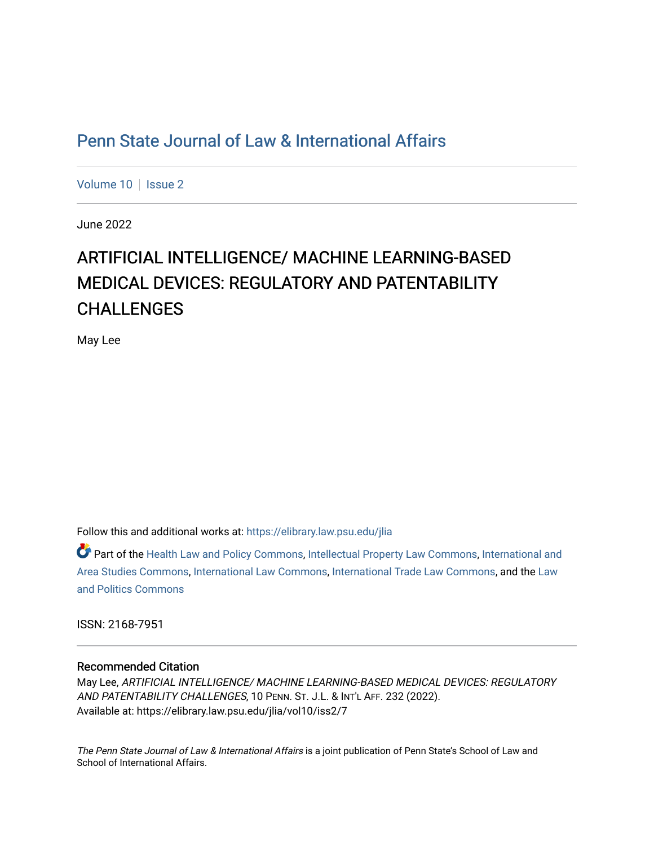# [Penn State Journal of Law & International Affairs](https://elibrary.law.psu.edu/jlia)

[Volume 10](https://elibrary.law.psu.edu/jlia/vol10) | [Issue 2](https://elibrary.law.psu.edu/jlia/vol10/iss2)

June 2022

# ARTIFICIAL INTELLIGENCE/ MACHINE LEARNING-BASED MEDICAL DEVICES: REGULATORY AND PATENTABILITY CHALLENGES

May Lee

Follow this and additional works at: [https://elibrary.law.psu.edu/jlia](https://elibrary.law.psu.edu/jlia?utm_source=elibrary.law.psu.edu%2Fjlia%2Fvol10%2Fiss2%2F7&utm_medium=PDF&utm_campaign=PDFCoverPages) 

Part of the [Health Law and Policy Commons](https://network.bepress.com/hgg/discipline/901?utm_source=elibrary.law.psu.edu%2Fjlia%2Fvol10%2Fiss2%2F7&utm_medium=PDF&utm_campaign=PDFCoverPages), [Intellectual Property Law Commons](https://network.bepress.com/hgg/discipline/896?utm_source=elibrary.law.psu.edu%2Fjlia%2Fvol10%2Fiss2%2F7&utm_medium=PDF&utm_campaign=PDFCoverPages), [International and](https://network.bepress.com/hgg/discipline/360?utm_source=elibrary.law.psu.edu%2Fjlia%2Fvol10%2Fiss2%2F7&utm_medium=PDF&utm_campaign=PDFCoverPages) [Area Studies Commons,](https://network.bepress.com/hgg/discipline/360?utm_source=elibrary.law.psu.edu%2Fjlia%2Fvol10%2Fiss2%2F7&utm_medium=PDF&utm_campaign=PDFCoverPages) [International Law Commons,](https://network.bepress.com/hgg/discipline/609?utm_source=elibrary.law.psu.edu%2Fjlia%2Fvol10%2Fiss2%2F7&utm_medium=PDF&utm_campaign=PDFCoverPages) [International Trade Law Commons](https://network.bepress.com/hgg/discipline/848?utm_source=elibrary.law.psu.edu%2Fjlia%2Fvol10%2Fiss2%2F7&utm_medium=PDF&utm_campaign=PDFCoverPages), and the [Law](https://network.bepress.com/hgg/discipline/867?utm_source=elibrary.law.psu.edu%2Fjlia%2Fvol10%2Fiss2%2F7&utm_medium=PDF&utm_campaign=PDFCoverPages) [and Politics Commons](https://network.bepress.com/hgg/discipline/867?utm_source=elibrary.law.psu.edu%2Fjlia%2Fvol10%2Fiss2%2F7&utm_medium=PDF&utm_campaign=PDFCoverPages) 

ISSN: 2168-7951

## Recommended Citation

May Lee, ARTIFICIAL INTELLIGENCE/ MACHINE LEARNING-BASED MEDICAL DEVICES: REGULATORY AND PATENTABILITY CHALLENGES, 10 PENN. ST. J.L. & INT'L AFF. 232 (2022). Available at: https://elibrary.law.psu.edu/jlia/vol10/iss2/7

The Penn State Journal of Law & International Affairs is a joint publication of Penn State's School of Law and School of International Affairs.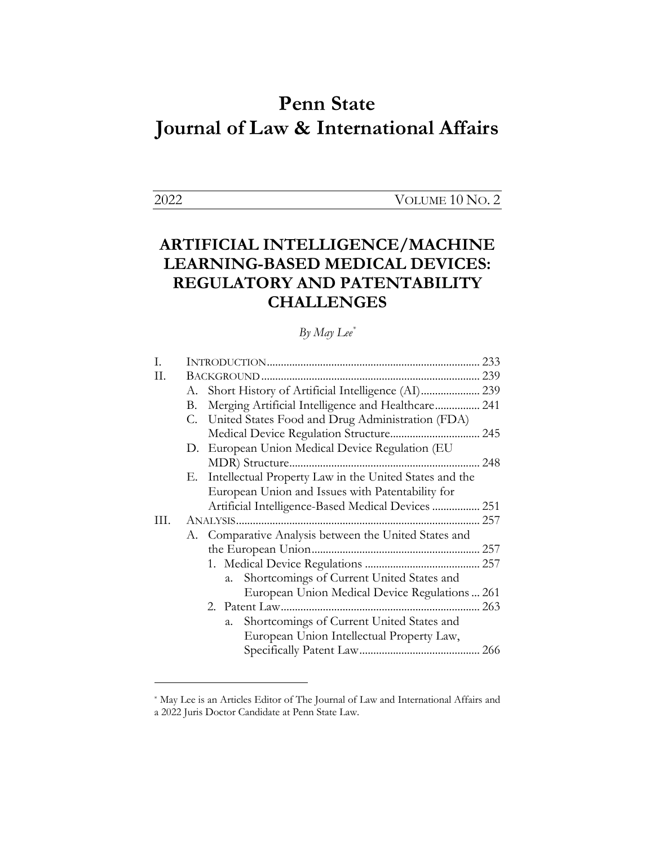# **Penn State Journal of Law & International Affairs**

2022 VOLUME 10 NO. 2

# **ARTIFICIAL INTELLIGENCE/MACHINE LEARNING-BASED MEDICAL DEVICES: REGULATORY AND PATENTABILITY CHALLENGES**

# *By May Lee\**

| L   |    |                                                           | 233 |
|-----|----|-----------------------------------------------------------|-----|
| H.  |    |                                                           |     |
|     | А. |                                                           |     |
|     | В. | Merging Artificial Intelligence and Healthcare 241        |     |
|     |    | C. United States Food and Drug Administration (FDA)       |     |
|     |    |                                                           |     |
|     |    | D. European Union Medical Device Regulation (EU           |     |
|     |    |                                                           |     |
|     |    | E. Intellectual Property Law in the United States and the |     |
|     |    | European Union and Issues with Patentability for          |     |
|     |    | Artificial Intelligence-Based Medical Devices  251        |     |
| HL. |    |                                                           | 257 |
|     |    | A. Comparative Analysis between the United States and     |     |
|     |    |                                                           |     |
|     |    |                                                           |     |
|     |    | Shortcomings of Current United States and<br>a.           |     |
|     |    | European Union Medical Device Regulations  261            |     |
|     |    |                                                           |     |
|     |    | Shortcomings of Current United States and<br>a.           |     |
|     |    | European Union Intellectual Property Law,                 |     |
|     |    |                                                           |     |
|     |    |                                                           |     |

<sup>\*</sup> May Lee is an Articles Editor of The Journal of Law and International Affairs and a 2022 Juris Doctor Candidate at Penn State Law.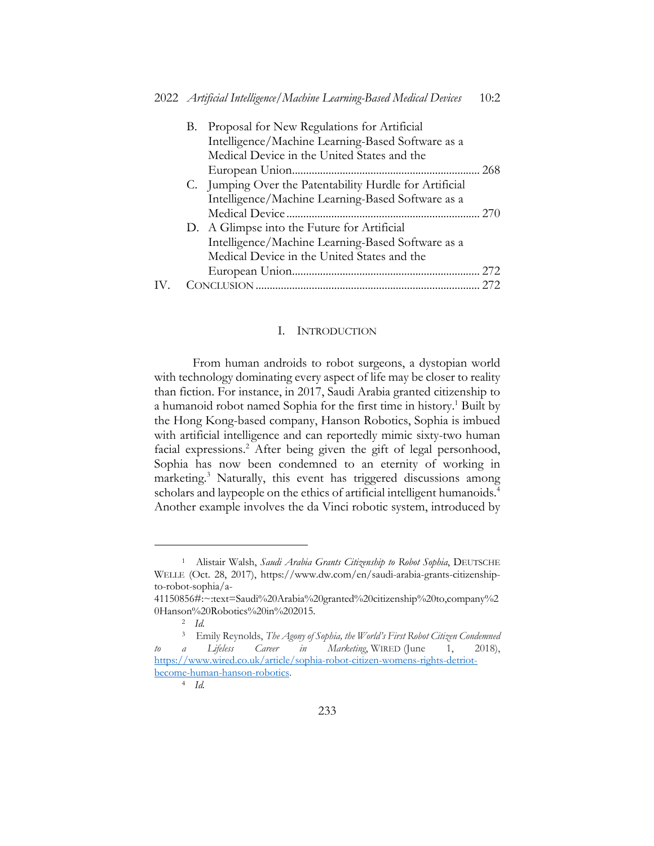|  | B. Proposal for New Regulations for Artificial          |     |
|--|---------------------------------------------------------|-----|
|  | Intelligence/Machine Learning-Based Software as a       |     |
|  | Medical Device in the United States and the             |     |
|  |                                                         | 268 |
|  | C. Jumping Over the Patentability Hurdle for Artificial |     |
|  | Intelligence/Machine Learning-Based Software as a       |     |
|  |                                                         |     |
|  | D. A Glimpse into the Future for Artificial             |     |
|  | Intelligence/Machine Learning-Based Software as a       |     |
|  | Medical Device in the United States and the             |     |
|  |                                                         | 272 |
|  |                                                         | 272 |
|  |                                                         |     |

#### I. INTRODUCTION

From human androids to robot surgeons, a dystopian world with technology dominating every aspect of life may be closer to reality than fiction. For instance, in 2017, Saudi Arabia granted citizenship to a humanoid robot named Sophia for the first time in history.<sup>1</sup> Built by the Hong Kong-based company, Hanson Robotics, Sophia is imbued with artificial intelligence and can reportedly mimic sixty-two human facial expressions.<sup>2</sup> After being given the gift of legal personhood, Sophia has now been condemned to an eternity of working in marketing.<sup>3</sup> Naturally, this event has triggered discussions among scholars and laypeople on the ethics of artificial intelligent humanoids.<sup>4</sup> Another example involves the da Vinci robotic system, introduced by

<sup>1</sup> Alistair Walsh, *Saudi Arabia Grants Citizenship to Robot Sophia*, DEUTSCHE WELLE (Oct. 28, 2017), https://www.dw.com/en/saudi-arabia-grants-citizenshipto-robot-sophia/a-

<sup>41150856#:~:</sup>text=Saudi%20Arabia%20granted%20citizenship%20to,company%2 0Hanson%20Robotics%20in%202015.

<sup>2</sup> *Id.*

<sup>3</sup> Emily Reynolds, *The Agony of Sophia, the World's First Robot Citizen Condemned to a Lifeless Career in Marketing*, WIRED (June 1, 2018), https://www.wired.co.uk/article/sophia-robot-citizen-womens-rights-detriotbecome-human-hanson-robotics.

<sup>4</sup> *Id.*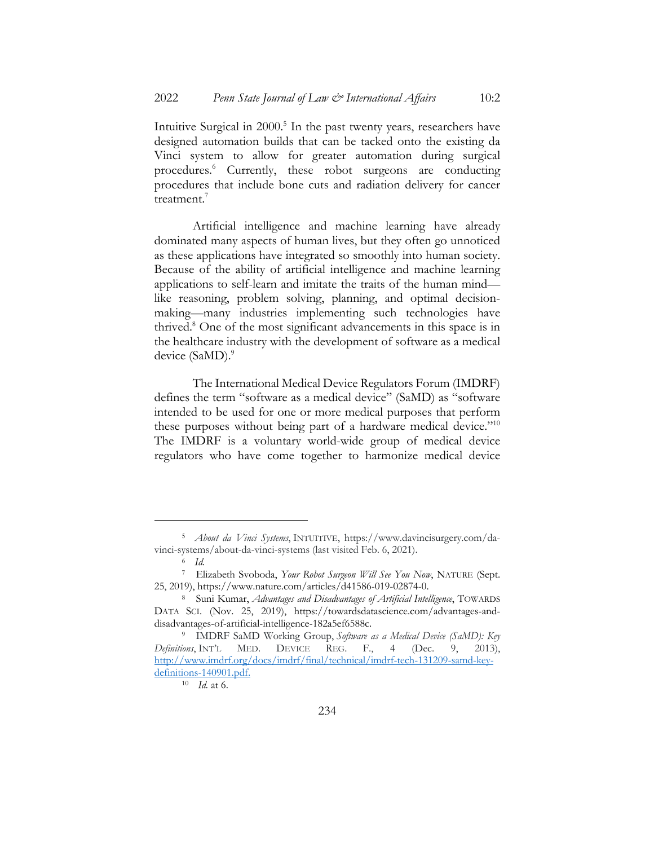Intuitive Surgical in 2000.<sup>5</sup> In the past twenty years, researchers have designed automation builds that can be tacked onto the existing da Vinci system to allow for greater automation during surgical procedures.6 Currently, these robot surgeons are conducting procedures that include bone cuts and radiation delivery for cancer treatment.<sup>7</sup>

Artificial intelligence and machine learning have already dominated many aspects of human lives, but they often go unnoticed as these applications have integrated so smoothly into human society. Because of the ability of artificial intelligence and machine learning applications to self-learn and imitate the traits of the human mind like reasoning, problem solving, planning, and optimal decisionmaking—many industries implementing such technologies have thrived.8 One of the most significant advancements in this space is in the healthcare industry with the development of software as a medical device (SaMD).<sup>9</sup>

The International Medical Device Regulators Forum (IMDRF) defines the term "software as a medical device" (SaMD) as "software intended to be used for one or more medical purposes that perform these purposes without being part of a hardware medical device."<sup>10</sup> The IMDRF is a voluntary world-wide group of medical device regulators who have come together to harmonize medical device

<sup>5</sup> *About da Vinci Systems*, INTUITIVE, https://www.davincisurgery.com/davinci-systems/about-da-vinci-systems (last visited Feb. 6, 2021).

<sup>6</sup> *Id.*

<sup>7</sup> Elizabeth Svoboda, *Your Robot Surgeon Will See You Now*, NATURE (Sept. 25, 2019), https://www.nature.com/articles/d41586-019-02874-0.

<sup>8</sup> Suni Kumar, *Advantages and Disadvantages of Artificial Intelligence*, TOWARDS DATA SCI. (Nov. 25, 2019), https://towardsdatascience.com/advantages-anddisadvantages-of-artificial-intelligence-182a5ef6588c.

<sup>9</sup> IMDRF SaMD Working Group, *Software as a Medical Device (SaMD): Key Definitions*, INT'L MED. DEVICE REG. F., 4 (Dec. 9, 2013), http://www.imdrf.org/docs/imdrf/final/technical/imdrf-tech-131209-samd-keydefinitions-140901.pdf.

<sup>10</sup> *Id.* at 6.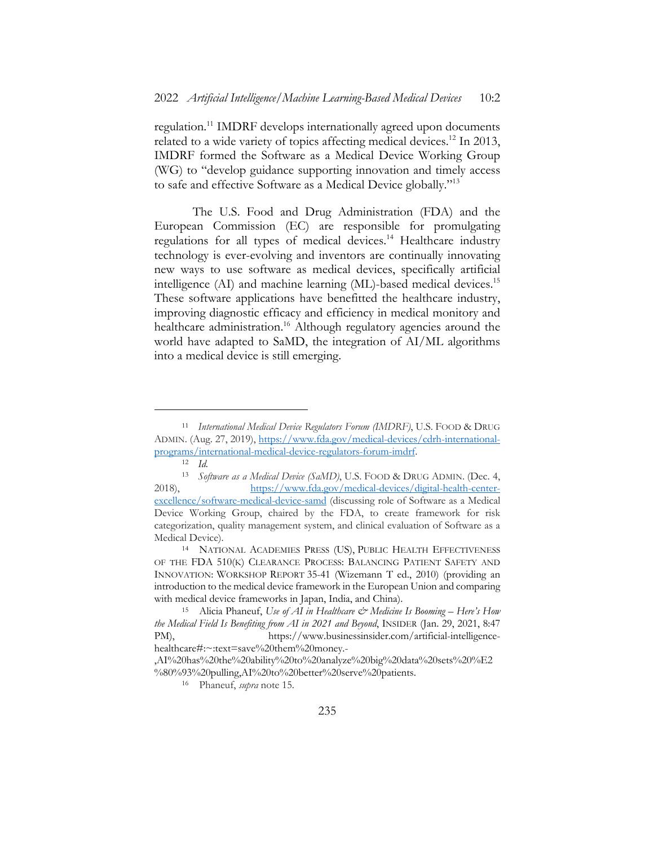regulation.11 IMDRF develops internationally agreed upon documents related to a wide variety of topics affecting medical devices.<sup>12</sup> In 2013, IMDRF formed the Software as a Medical Device Working Group (WG) to "develop guidance supporting innovation and timely access to safe and effective Software as a Medical Device globally."13

The U.S. Food and Drug Administration (FDA) and the European Commission (EC) are responsible for promulgating regulations for all types of medical devices.<sup>14</sup> Healthcare industry technology is ever-evolving and inventors are continually innovating new ways to use software as medical devices, specifically artificial intelligence (AI) and machine learning (ML)-based medical devices.<sup>15</sup> These software applications have benefitted the healthcare industry, improving diagnostic efficacy and efficiency in medical monitory and healthcare administration.<sup>16</sup> Although regulatory agencies around the world have adapted to SaMD, the integration of AI/ML algorithms into a medical device is still emerging.

<sup>11</sup> *International Medical Device Regulators Forum (IMDRF)*, U.S. FOOD & DRUG ADMIN. (Aug. 27, 2019), https://www.fda.gov/medical-devices/cdrh-internationalprograms/international-medical-device-regulators-forum-imdrf.

 $\frac{12}{13}$  *Id.* 

<sup>13</sup> *Software as a Medical Device (SaMD)*, U.S. FOOD & DRUG ADMIN. (Dec. 4, 2018), https://www.fda.gov/medical-devices/digital-health-centerexcellence/software-medical-device-samd (discussing role of Software as a Medical Device Working Group, chaired by the FDA, to create framework for risk categorization, quality management system, and clinical evaluation of Software as a Medical Device).

<sup>14</sup> NATIONAL ACADEMIES PRESS (US), PUBLIC HEALTH EFFECTIVENESS OF THE FDA 510(K) CLEARANCE PROCESS: BALANCING PATIENT SAFETY AND INNOVATION: WORKSHOP REPORT 35-41 (Wizemann T ed., 2010) (providing an introduction to the medical device framework in the European Union and comparing with medical device frameworks in Japan, India, and China).

<sup>15</sup> Alicia Phaneuf, *Use of AI in Healthcare & Medicine Is Booming – Here's How the Medical Field Is Benefiting from AI in 2021 and Beyond*, INSIDER (Jan. 29, 2021, 8:47 PM), https://www.businessinsider.com/artificial-intelligencehealthcare#:~:text=save%20them%20money.-

<sup>,</sup>AI%20has%20the%20ability%20to%20analyze%20big%20data%20sets%20%E2 %80%93%20pulling,AI%20to%20better%20serve%20patients.

<sup>16</sup> Phaneuf, *supra* note 15.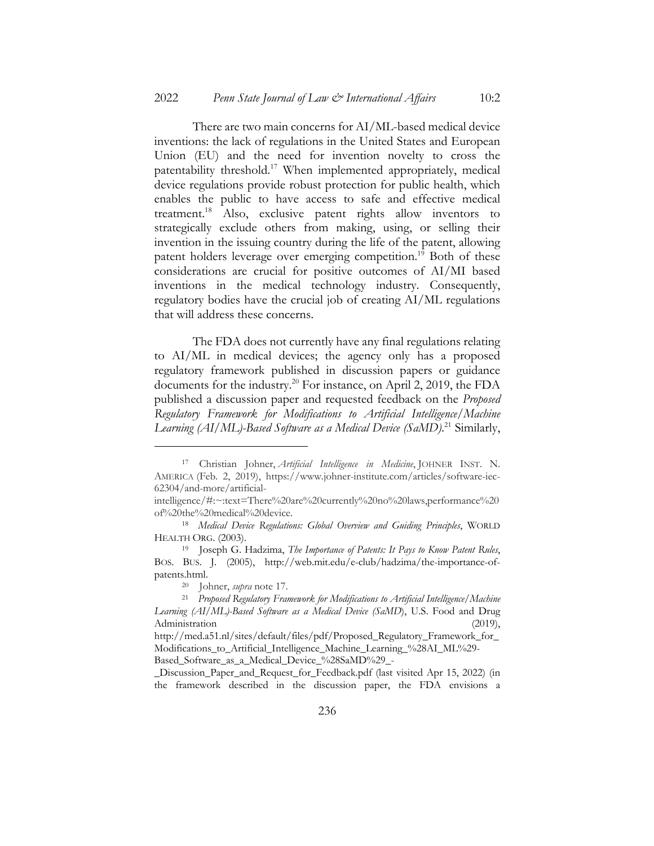There are two main concerns for AI/ML-based medical device inventions: the lack of regulations in the United States and European Union (EU) and the need for invention novelty to cross the patentability threshold.17 When implemented appropriately, medical device regulations provide robust protection for public health, which enables the public to have access to safe and effective medical treatment.18 Also, exclusive patent rights allow inventors to strategically exclude others from making, using, or selling their invention in the issuing country during the life of the patent, allowing patent holders leverage over emerging competition.<sup>19</sup> Both of these considerations are crucial for positive outcomes of AI/MI based inventions in the medical technology industry. Consequently, regulatory bodies have the crucial job of creating AI/ML regulations that will address these concerns.

The FDA does not currently have any final regulations relating to AI/ML in medical devices; the agency only has a proposed regulatory framework published in discussion papers or guidance documents for the industry.<sup>20</sup> For instance, on April 2, 2019, the FDA published a discussion paper and requested feedback on the *Proposed Regulatory Framework for Modifications to Artificial Intelligence/Machine*  Learning (AI/ML)-Based Software as a Medical Device (SaMD).<sup>21</sup> Similarly,

<sup>17</sup> Christian Johner, *Artificial Intelligence in Medicine*, JOHNER INST. N. AMERICA (Feb. 2, 2019), https://www.johner-institute.com/articles/software-iec-62304/and-more/artificial-

intelligence/#:~:text=There%20are%20currently%20no%20laws,performance%20 of%20the%20medical%20device.

<sup>18</sup> *Medical Device Regulations: Global Overview and Guiding Principles*, WORLD HEALTH ORG. (2003).

<sup>19</sup> Joseph G. Hadzima, *The Importance of Patents: It Pays to Know Patent Rules*, BOS. BUS. J. (2005), http://web.mit.edu/e-club/hadzima/the-importance-ofpatents.html.

<sup>20</sup> Johner, *supra* note 17.

<sup>21</sup> *Proposed Regulatory Framework for Modifications to Artificial Intelligence/Machine Learning (AI/ML)-Based Software as a Medical Device (SaMD*), U.S. Food and Drug Administration (2019),

http://med.a51.nl/sites/default/files/pdf/Proposed\_Regulatory\_Framework\_for\_ Modifications to Artificial Intelligence Machine Learning %28AI ML%29-Based\_Software\_as\_a\_Medical\_Device\_%28SaMD%29\_-

\_Discussion\_Paper\_and\_Request\_for\_Feedback.pdf (last visited Apr 15, 2022) (in the framework described in the discussion paper, the FDA envisions a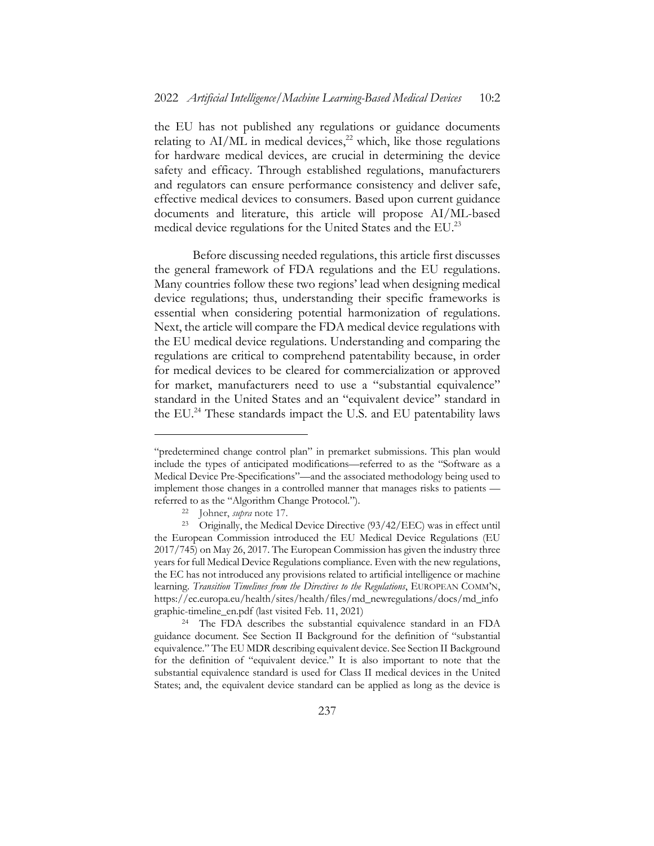the EU has not published any regulations or guidance documents relating to  $AI/ML$  in medical devices,<sup>22</sup> which, like those regulations for hardware medical devices, are crucial in determining the device safety and efficacy. Through established regulations, manufacturers and regulators can ensure performance consistency and deliver safe, effective medical devices to consumers. Based upon current guidance documents and literature, this article will propose AI/ML-based medical device regulations for the United States and the  $EU^{23}$ 

Before discussing needed regulations, this article first discusses the general framework of FDA regulations and the EU regulations. Many countries follow these two regions' lead when designing medical device regulations; thus, understanding their specific frameworks is essential when considering potential harmonization of regulations. Next, the article will compare the FDA medical device regulations with the EU medical device regulations. Understanding and comparing the regulations are critical to comprehend patentability because, in order for medical devices to be cleared for commercialization or approved for market, manufacturers need to use a "substantial equivalence" standard in the United States and an "equivalent device" standard in the EU.<sup>24</sup> These standards impact the U.S. and EU patentability laws

<sup>&</sup>quot;predetermined change control plan" in premarket submissions. This plan would include the types of anticipated modifications—referred to as the "Software as a Medical Device Pre-Specifications"—and the associated methodology being used to implement those changes in a controlled manner that manages risks to patients referred to as the "Algorithm Change Protocol.").

<sup>22</sup> Johner, *supra* note 17.

<sup>&</sup>lt;sup>23</sup> Originally, the Medical Device Directive (93/42/EEC) was in effect until the European Commission introduced the EU Medical Device Regulations (EU 2017/745) on May 26, 2017. The European Commission has given the industry three years for full Medical Device Regulations compliance. Even with the new regulations, the EC has not introduced any provisions related to artificial intelligence or machine learning. *Transition Timelines from the Directives to the Regulations*, EUROPEAN COMM'N, https://ec.europa.eu/health/sites/health/files/md\_newregulations/docs/md\_info graphic-timeline\_en.pdf (last visited Feb. 11, 2021)

<sup>24</sup> The FDA describes the substantial equivalence standard in an FDA guidance document. See Section II Background for the definition of "substantial equivalence." The EU MDR describing equivalent device. See Section II Background for the definition of "equivalent device." It is also important to note that the substantial equivalence standard is used for Class II medical devices in the United States; and, the equivalent device standard can be applied as long as the device is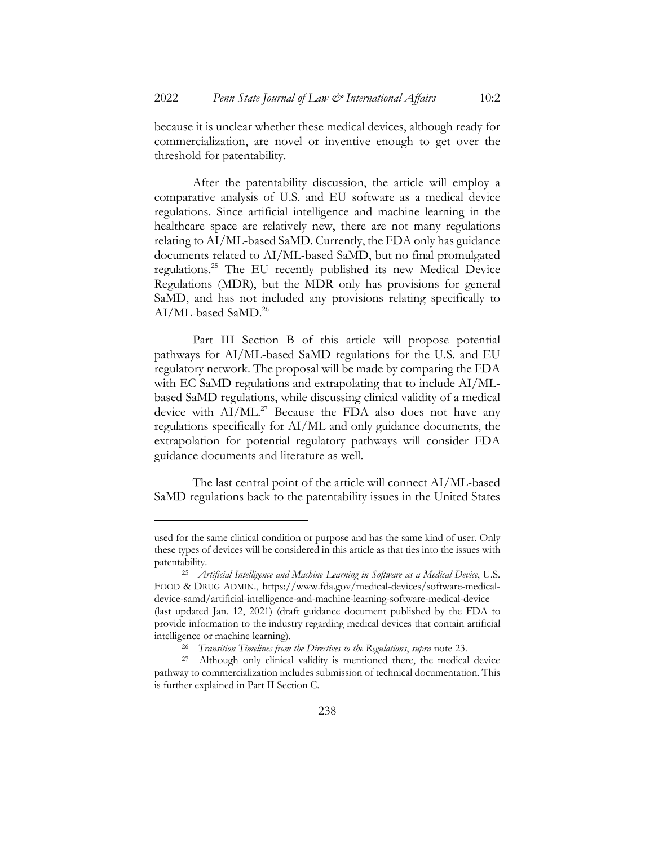because it is unclear whether these medical devices, although ready for commercialization, are novel or inventive enough to get over the threshold for patentability.

After the patentability discussion, the article will employ a comparative analysis of U.S. and EU software as a medical device regulations. Since artificial intelligence and machine learning in the healthcare space are relatively new, there are not many regulations relating to AI/ML-based SaMD. Currently, the FDA only has guidance documents related to AI/ML-based SaMD, but no final promulgated regulations.25 The EU recently published its new Medical Device Regulations (MDR), but the MDR only has provisions for general SaMD, and has not included any provisions relating specifically to AI/ML-based SaMD.<sup>26</sup>

Part III Section B of this article will propose potential pathways for AI/ML-based SaMD regulations for the U.S. and EU regulatory network. The proposal will be made by comparing the FDA with EC SaMD regulations and extrapolating that to include AI/MLbased SaMD regulations, while discussing clinical validity of a medical device with  $AI/ML$ <sup>27</sup> Because the FDA also does not have any regulations specifically for AI/ML and only guidance documents, the extrapolation for potential regulatory pathways will consider FDA guidance documents and literature as well.

The last central point of the article will connect AI/ML-based SaMD regulations back to the patentability issues in the United States

used for the same clinical condition or purpose and has the same kind of user. Only these types of devices will be considered in this article as that ties into the issues with patentability.

<sup>25</sup> *Artificial Intelligence and Machine Learning in Software as a Medical Device*, U.S. FOOD & DRUG ADMIN., https://www.fda.gov/medical-devices/software-medicaldevice-samd/artificial-intelligence-and-machine-learning-software-medical-device (last updated Jan. 12, 2021) (draft guidance document published by the FDA to provide information to the industry regarding medical devices that contain artificial intelligence or machine learning).

<sup>26</sup> *Transition Timelines from the Directives to the Regulations*, *supra* note 23.

Although only clinical validity is mentioned there, the medical device pathway to commercialization includes submission of technical documentation. This is further explained in Part II Section C.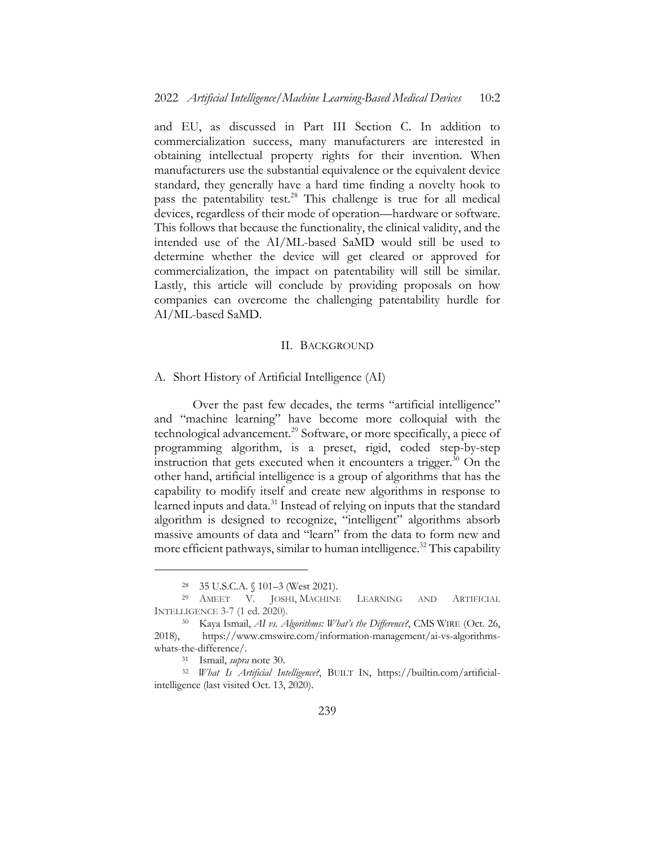and EU, as discussed in Part III Section C. In addition to commercialization success, many manufacturers are interested in obtaining intellectual property rights for their invention. When manufacturers use the substantial equivalence or the equivalent device standard, they generally have a hard time finding a novelty hook to pass the patentability test.<sup>28</sup> This challenge is true for all medical devices, regardless of their mode of operation—hardware or software. This follows that because the functionality, the clinical validity, and the intended use of the AI/ML-based SaMD would still be used to determine whether the device will get cleared or approved for commercialization, the impact on patentability will still be similar. Lastly, this article will conclude by providing proposals on how companies can overcome the challenging patentability hurdle for AI/ML-based SaMD.

#### II. BACKGROUND

#### A. Short History of Artificial Intelligence (AI)

Over the past few decades, the terms "artificial intelligence" and "machine learning" have become more colloquial with the technological advancement.29 Software, or more specifically, a piece of programming algorithm, is a preset, rigid, coded step-by-step instruction that gets executed when it encounters a trigger. $30$  On the other hand, artificial intelligence is a group of algorithms that has the capability to modify itself and create new algorithms in response to learned inputs and data.<sup>31</sup> Instead of relying on inputs that the standard algorithm is designed to recognize, "intelligent" algorithms absorb massive amounts of data and "learn" from the data to form new and more efficient pathways, similar to human intelligence.<sup>32</sup> This capability

<sup>28</sup> 35 U.S.C.A. § 101–3 (West 2021).

<sup>29</sup> AMEET V. JOSHI, MACHINE LEARNING AND ARTIFICIAL INTELLIGENCE 3-7 (1 ed. 2020).

<sup>30</sup> Kaya Ismail, *AI vs. Algorithms: What's the Difference?*, CMS WIRE (Oct. 26, 2018), https://www.cmswire.com/information-management/ai-vs-algorithmswhats-the-difference/.

<sup>31</sup> Ismail, *supra* note 30.

<sup>32</sup> *What Is Artificial Intelligence?*, BUILT IN, https://builtin.com/artificialintelligence (last visited Oct. 13, 2020).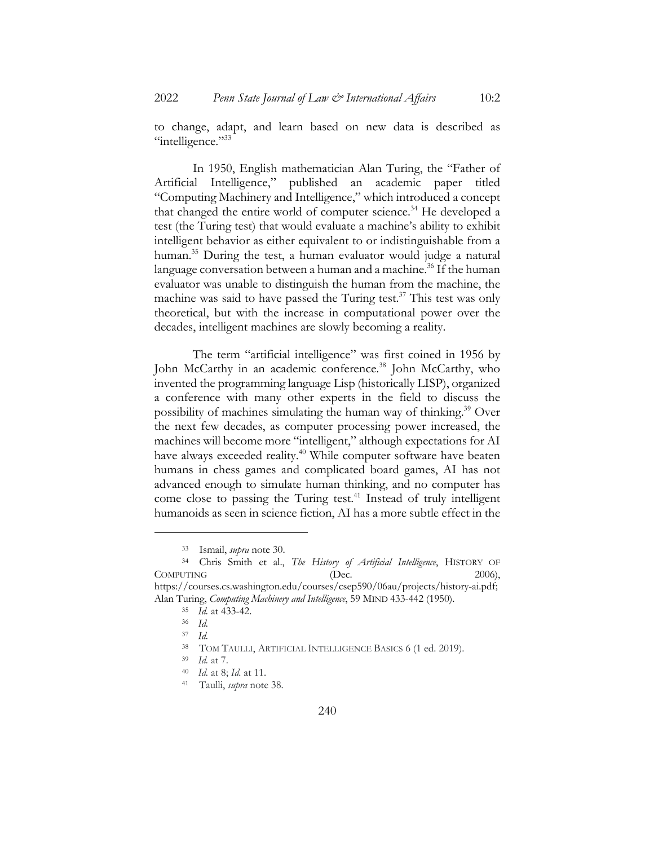to change, adapt, and learn based on new data is described as "intelligence."33

In 1950, English mathematician Alan Turing, the "Father of Artificial Intelligence," published an academic paper titled "Computing Machinery and Intelligence," which introduced a concept that changed the entire world of computer science.<sup>34</sup> He developed a test (the Turing test) that would evaluate a machine's ability to exhibit intelligent behavior as either equivalent to or indistinguishable from a human.<sup>35</sup> During the test, a human evaluator would judge a natural language conversation between a human and a machine.<sup>36</sup> If the human evaluator was unable to distinguish the human from the machine, the machine was said to have passed the Turing test.<sup>37</sup> This test was only theoretical, but with the increase in computational power over the decades, intelligent machines are slowly becoming a reality.

The term "artificial intelligence" was first coined in 1956 by John McCarthy in an academic conference.<sup>38</sup> John McCarthy, who invented the programming language Lisp (historically LISP), organized a conference with many other experts in the field to discuss the possibility of machines simulating the human way of thinking.39 Over the next few decades, as computer processing power increased, the machines will become more "intelligent," although expectations for AI have always exceeded reality.<sup>40</sup> While computer software have beaten humans in chess games and complicated board games, AI has not advanced enough to simulate human thinking, and no computer has come close to passing the Turing test.<sup>41</sup> Instead of truly intelligent humanoids as seen in science fiction, AI has a more subtle effect in the

<sup>33</sup> Ismail, *supra* note 30.

<sup>34</sup> Chris Smith et al., *The History of Artificial Intelligence*, HISTORY OF COMPUTING (Dec. 2006), https://courses.cs.washington.edu/courses/csep590/06au/projects/history-ai.pdf; Alan Turing, *Computing Machinery and Intelligence*, 59 MIND 433-442 (1950).

<sup>35</sup> *Id.* at 433-42.

<sup>36</sup> *Id.*

<sup>37</sup> *Id.*

<sup>38</sup> TOM TAULLI, ARTIFICIAL INTELLIGENCE BASICS 6 (1 ed. 2019).

<sup>39</sup> *Id.* at 7.

<sup>40</sup> *Id.* at 8; *Id.* at 11.

<sup>41</sup> Taulli, *supra* note 38.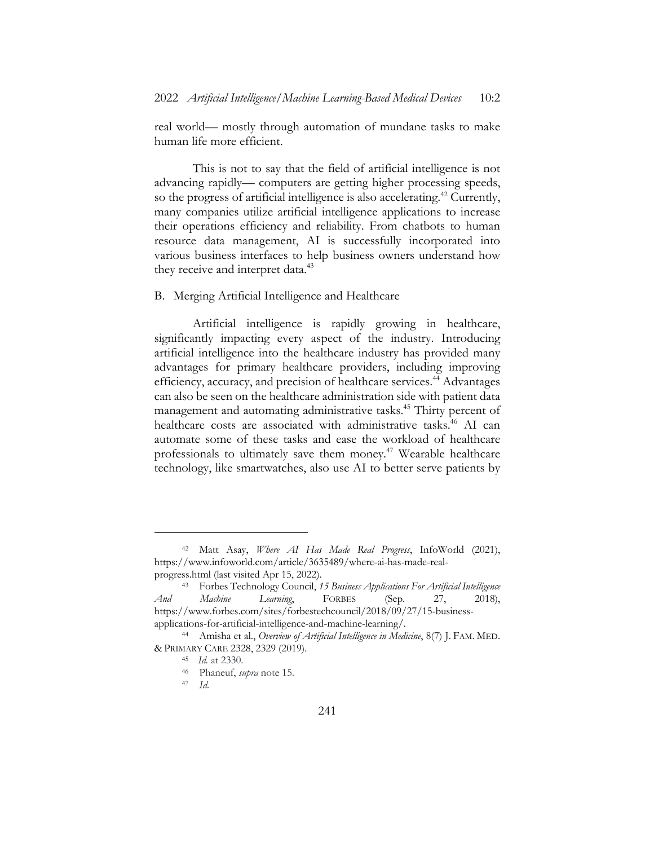real world— mostly through automation of mundane tasks to make human life more efficient.

This is not to say that the field of artificial intelligence is not advancing rapidly— computers are getting higher processing speeds, so the progress of artificial intelligence is also accelerating.<sup>42</sup> Currently, many companies utilize artificial intelligence applications to increase their operations efficiency and reliability. From chatbots to human resource data management, AI is successfully incorporated into various business interfaces to help business owners understand how they receive and interpret data.<sup>43</sup>

#### B. Merging Artificial Intelligence and Healthcare

Artificial intelligence is rapidly growing in healthcare, significantly impacting every aspect of the industry. Introducing artificial intelligence into the healthcare industry has provided many advantages for primary healthcare providers, including improving efficiency, accuracy, and precision of healthcare services.<sup>44</sup> Advantages can also be seen on the healthcare administration side with patient data management and automating administrative tasks.<sup>45</sup> Thirty percent of healthcare costs are associated with administrative tasks.<sup>46</sup> AI can automate some of these tasks and ease the workload of healthcare professionals to ultimately save them money.<sup>47</sup> Wearable healthcare technology, like smartwatches, also use AI to better serve patients by

<sup>42</sup> Matt Asay, *Where AI Has Made Real Progress*, InfoWorld (2021), https://www.infoworld.com/article/3635489/where-ai-has-made-realprogress.html (last visited Apr 15, 2022).

<sup>43</sup> Forbes Technology Council, *15 Business Applications For Artificial Intelligence And Machine Learning*, FORBES (Sep. 27, 2018), https://www.forbes.com/sites/forbestechcouncil/2018/09/27/15-businessapplications-for-artificial-intelligence-and-machine-learning/.

<sup>44</sup> Amisha et al., *Overview of Artificial Intelligence in Medicine*, 8(7) J. FAM. MED. & PRIMARY CARE 2328, 2329 (2019).

<sup>45</sup> *Id.* at 2330.

<sup>46</sup> Phaneuf, *supra* note 15.

<sup>47</sup> *Id.*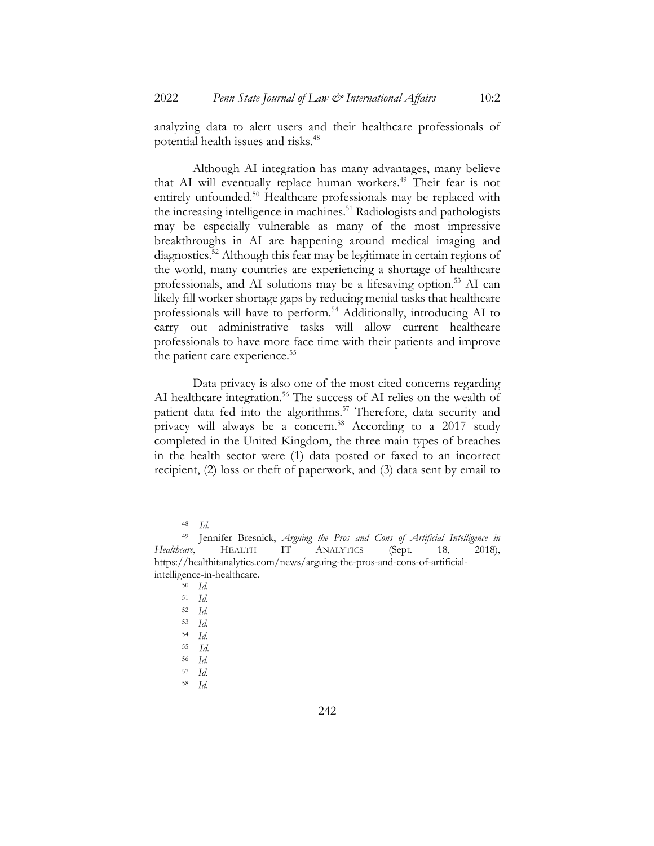analyzing data to alert users and their healthcare professionals of potential health issues and risks.<sup>48</sup>

Although AI integration has many advantages, many believe that AI will eventually replace human workers.<sup>49</sup> Their fear is not entirely unfounded.<sup>50</sup> Healthcare professionals may be replaced with the increasing intelligence in machines.<sup>51</sup> Radiologists and pathologists may be especially vulnerable as many of the most impressive breakthroughs in AI are happening around medical imaging and diagnostics.52 Although this fear may be legitimate in certain regions of the world, many countries are experiencing a shortage of healthcare professionals, and AI solutions may be a lifesaving option.<sup>53</sup> AI can likely fill worker shortage gaps by reducing menial tasks that healthcare professionals will have to perform.<sup>54</sup> Additionally, introducing AI to carry out administrative tasks will allow current healthcare professionals to have more face time with their patients and improve the patient care experience.<sup>55</sup>

Data privacy is also one of the most cited concerns regarding AI healthcare integration.<sup>56</sup> The success of AI relies on the wealth of patient data fed into the algorithms.<sup>57</sup> Therefore, data security and privacy will always be a concern.<sup>58</sup> According to a 2017 study completed in the United Kingdom, the three main types of breaches in the health sector were (1) data posted or faxed to an incorrect recipient, (2) loss or theft of paperwork, and (3) data sent by email to

<sup>48</sup> *Id.*

<sup>49</sup> Jennifer Bresnick, *Arguing the Pros and Cons of Artificial Intelligence in Healthcare*, HEALTH IT ANALYTICS (Sept. 18, 2018), https://healthitanalytics.com/news/arguing-the-pros-and-cons-of-artificialintelligence-in-healthcare.

<sup>50</sup> *Id.*

<sup>51</sup> *Id.*

<sup>52</sup> *Id.*

<sup>53</sup> *Id.*

<sup>54</sup> *Id.*

<sup>55</sup> *Id.*

<sup>56</sup> *Id.*

<sup>57</sup> *Id.*

<sup>58</sup> *Id.*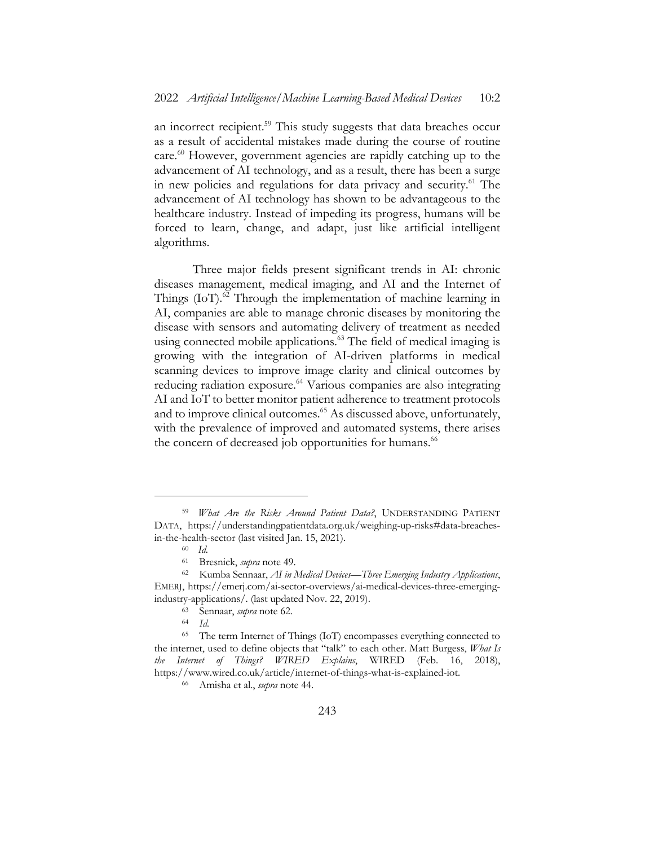an incorrect recipient.<sup>59</sup> This study suggests that data breaches occur as a result of accidental mistakes made during the course of routine care.<sup>60</sup> However, government agencies are rapidly catching up to the advancement of AI technology, and as a result, there has been a surge in new policies and regulations for data privacy and security.<sup>61</sup> The advancement of AI technology has shown to be advantageous to the healthcare industry. Instead of impeding its progress, humans will be forced to learn, change, and adapt, just like artificial intelligent algorithms.

Three major fields present significant trends in AI: chronic diseases management, medical imaging, and AI and the Internet of Things (IoT).<sup>62</sup> Through the implementation of machine learning in AI, companies are able to manage chronic diseases by monitoring the disease with sensors and automating delivery of treatment as needed using connected mobile applications.<sup>63</sup> The field of medical imaging is growing with the integration of AI-driven platforms in medical scanning devices to improve image clarity and clinical outcomes by reducing radiation exposure.<sup>64</sup> Various companies are also integrating AI and IoT to better monitor patient adherence to treatment protocols and to improve clinical outcomes.<sup>65</sup> As discussed above, unfortunately, with the prevalence of improved and automated systems, there arises the concern of decreased job opportunities for humans.<sup>66</sup>

<sup>59</sup> *What Are the Risks Around Patient Data?*, UNDERSTANDING PATIENT DATA, https://understandingpatientdata.org.uk/weighing-up-risks#data-breachesin-the-health-sector (last visited Jan. 15, 2021).

<sup>60</sup> *Id.*

<sup>61</sup> Bresnick, *supra* note 49.

<sup>62</sup> Kumba Sennaar, *AI in Medical Devices—Three Emerging Industry Applications*, EMERJ, https://emerj.com/ai-sector-overviews/ai-medical-devices-three-emergingindustry-applications/. (last updated Nov. 22, 2019).

<sup>63</sup> Sennaar, *supra* note 62*.*

<sup>64</sup> *Id.*

<sup>65</sup> The term Internet of Things (IoT) encompasses everything connected to the internet, used to define objects that "talk" to each other. Matt Burgess, *What Is the Internet of Things? WIRED Explains*, WIRED (Feb. 16, 2018), https://www.wired.co.uk/article/internet-of-things-what-is-explained-iot.

<sup>66</sup> Amisha et al., *supra* note 44.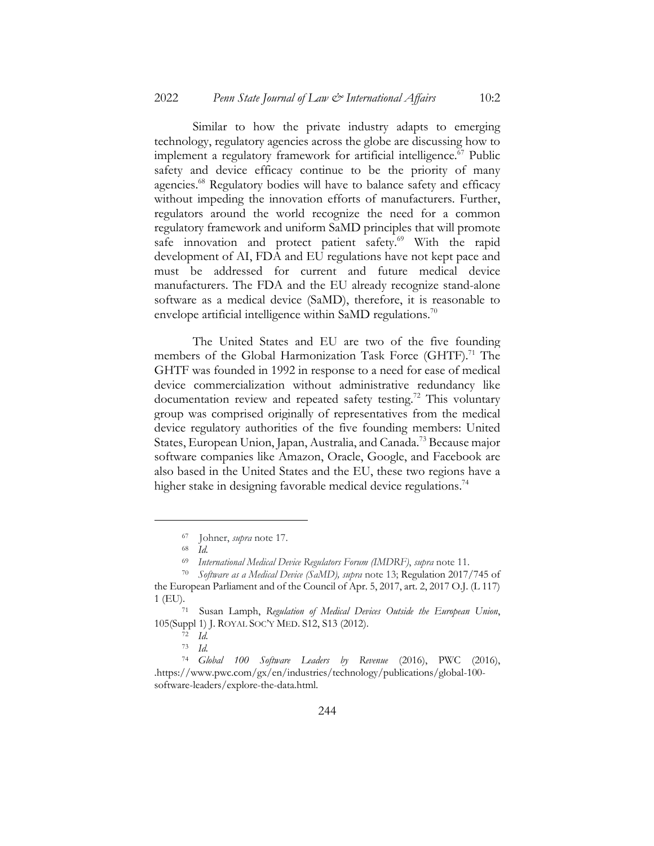Similar to how the private industry adapts to emerging technology, regulatory agencies across the globe are discussing how to implement a regulatory framework for artificial intelligence.<sup>67</sup> Public safety and device efficacy continue to be the priority of many agencies.<sup>68</sup> Regulatory bodies will have to balance safety and efficacy without impeding the innovation efforts of manufacturers. Further, regulators around the world recognize the need for a common regulatory framework and uniform SaMD principles that will promote safe innovation and protect patient safety.<sup>69</sup> With the rapid development of AI, FDA and EU regulations have not kept pace and must be addressed for current and future medical device manufacturers. The FDA and the EU already recognize stand-alone software as a medical device (SaMD), therefore, it is reasonable to envelope artificial intelligence within SaMD regulations.<sup>70</sup>

The United States and EU are two of the five founding members of the Global Harmonization Task Force (GHTF).<sup>71</sup> The GHTF was founded in 1992 in response to a need for ease of medical device commercialization without administrative redundancy like documentation review and repeated safety testing.<sup>72</sup> This voluntary group was comprised originally of representatives from the medical device regulatory authorities of the five founding members: United States, European Union, Japan, Australia, and Canada.<sup>73</sup> Because major software companies like Amazon, Oracle, Google, and Facebook are also based in the United States and the EU, these two regions have a higher stake in designing favorable medical device regulations.<sup>74</sup>

<sup>67</sup> Johner, *supra* note 17.

<sup>68</sup> *Id.*

<sup>69</sup> *International Medical Device Regulators Forum (IMDRF)*, *supra* note 11.

<sup>70</sup> *Software as a Medical Device (SaMD), supra* note 13; Regulation 2017/745 of the European Parliament and of the Council of Apr. 5, 2017, art. 2, 2017 O.J. (L 117)

<sup>1 (</sup>EU).71 Susan Lamph, *Regulation of Medical Devices Outside the European Union*, 105(Suppl 1) J. ROYAL SOC'Y MED. S12, S13 (2012).

<sup>72</sup> *Id.*

<sup>73</sup> *Id.*

<sup>74</sup> *Global 100 Software Leaders by Revenue* (2016), PWC (2016), .https://www.pwc.com/gx/en/industries/technology/publications/global-100 software-leaders/explore-the-data.html.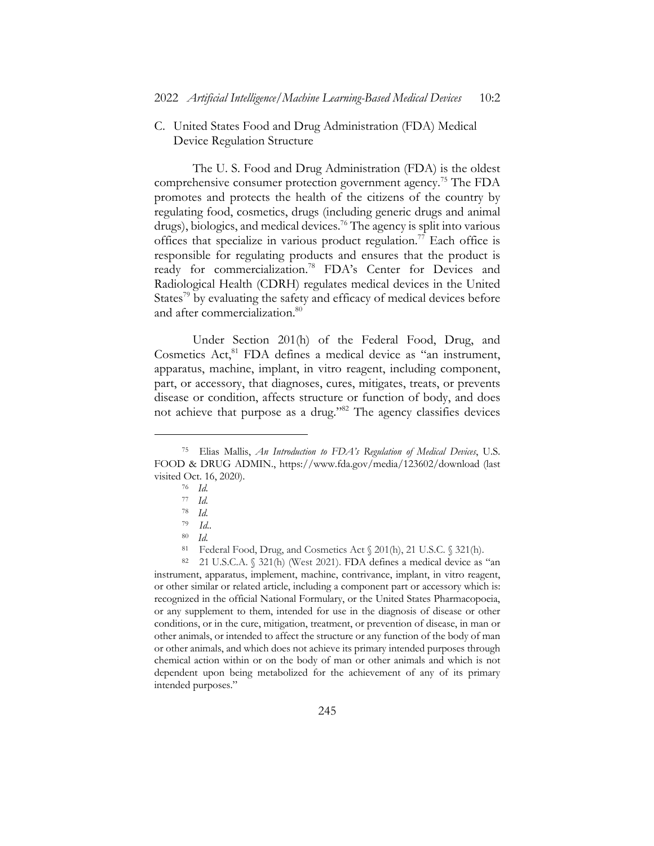C. United States Food and Drug Administration (FDA) Medical Device Regulation Structure

The U. S. Food and Drug Administration (FDA) is the oldest comprehensive consumer protection government agency.<sup>75</sup> The FDA promotes and protects the health of the citizens of the country by regulating food, cosmetics, drugs (including generic drugs and animal drugs), biologics, and medical devices.<sup>76</sup> The agency is split into various offices that specialize in various product regulation.<sup>77</sup> Each office is responsible for regulating products and ensures that the product is ready for commercialization.<sup>78</sup> FDA's Center for Devices and Radiological Health (CDRH) regulates medical devices in the United States<sup>79</sup> by evaluating the safety and efficacy of medical devices before and after commercialization.<sup>80</sup>

Under Section 201(h) of the Federal Food, Drug, and Cosmetics Act,<sup>81</sup> FDA defines a medical device as "an instrument, apparatus, machine, implant, in vitro reagent, including component, part, or accessory, that diagnoses, cures, mitigates, treats, or prevents disease or condition, affects structure or function of body, and does not achieve that purpose as a drug."82 The agency classifies devices

<sup>82</sup> 21 U.S.C.A. § 321(h) (West 2021). FDA defines a medical device as "an instrument, apparatus, implement, machine, contrivance, implant, in vitro reagent, or other similar or related article, including a component part or accessory which is: recognized in the official National Formulary, or the United States Pharmacopoeia, or any supplement to them, intended for use in the diagnosis of disease or other conditions, or in the cure, mitigation, treatment, or prevention of disease, in man or other animals, or intended to affect the structure or any function of the body of man or other animals, and which does not achieve its primary intended purposes through chemical action within or on the body of man or other animals and which is not dependent upon being metabolized for the achievement of any of its primary intended purposes."

<sup>75</sup> Elias Mallis, *An Introduction to FDA's Regulation of Medical Devices*, U.S. FOOD & DRUG ADMIN., https://www.fda.gov/media/123602/download (last visited Oct. 16, 2020).

<sup>76</sup> *Id.*

<sup>77</sup> *Id.*

<sup>78</sup> *Id.*

<sup>79</sup> *Id..*

<sup>80</sup> *Id.*

<sup>81</sup> Federal Food, Drug, and Cosmetics Act § 201(h), 21 U.S.C. § 321(h).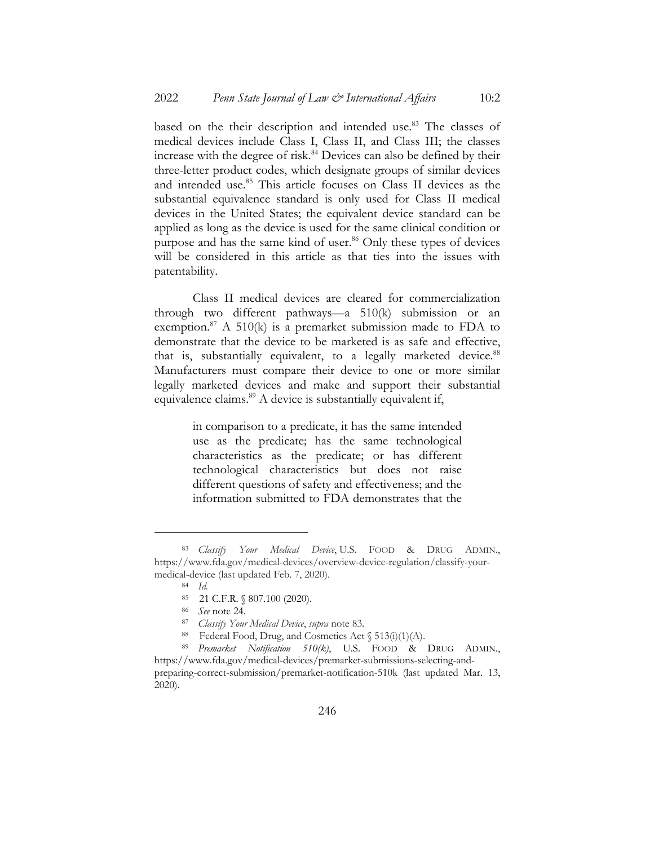based on the their description and intended use.<sup>83</sup> The classes of medical devices include Class I, Class II, and Class III; the classes increase with the degree of risk.<sup>84</sup> Devices can also be defined by their three-letter product codes, which designate groups of similar devices and intended use.<sup>85</sup> This article focuses on Class II devices as the substantial equivalence standard is only used for Class II medical devices in the United States; the equivalent device standard can be applied as long as the device is used for the same clinical condition or purpose and has the same kind of user.<sup>86</sup> Only these types of devices will be considered in this article as that ties into the issues with patentability.

Class II medical devices are cleared for commercialization through two different pathways—a 510(k) submission or an exemption.<sup>87</sup> A 510(k) is a premarket submission made to FDA to demonstrate that the device to be marketed is as safe and effective, that is, substantially equivalent, to a legally marketed device.<sup>88</sup> Manufacturers must compare their device to one or more similar legally marketed devices and make and support their substantial equivalence claims.<sup>89</sup> A device is substantially equivalent if,

> in comparison to a predicate, it has the same intended use as the predicate; has the same technological characteristics as the predicate; or has different technological characteristics but does not raise different questions of safety and effectiveness; and the information submitted to FDA demonstrates that the

<sup>83</sup> *Classify Your Medical Device*, U.S. FOOD & DRUG ADMIN., https://www.fda.gov/medical-devices/overview-device-regulation/classify-yourmedical-device (last updated Feb. 7, 2020).

<sup>84</sup> *Id.*

<sup>85</sup> 21 C.F.R. § 807.100 (2020).

<sup>86</sup> *See* note 24.

<sup>87</sup> *Classify Your Medical Device*, *supra* note 83*.*

<sup>88</sup> Federal Food, Drug, and Cosmetics Act  $\S$  513(i)(1)(A).

<sup>89</sup> *Premarket Notification 510(k)*, U.S. FOOD & DRUG ADMIN., https://www.fda.gov/medical-devices/premarket-submissions-selecting-andpreparing-correct-submission/premarket-notification-510k (last updated Mar. 13, 2020).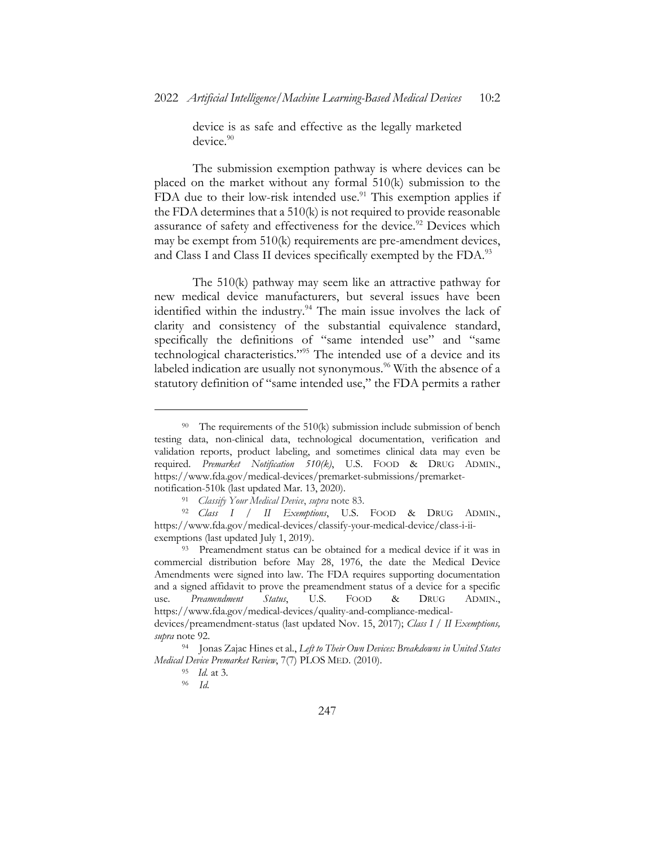device is as safe and effective as the legally marketed device.<sup>90</sup>

The submission exemption pathway is where devices can be placed on the market without any formal 510(k) submission to the FDA due to their low-risk intended use.<sup>91</sup> This exemption applies if the FDA determines that a 510(k) is not required to provide reasonable assurance of safety and effectiveness for the device.<sup>92</sup> Devices which may be exempt from 510(k) requirements are pre-amendment devices, and Class I and Class II devices specifically exempted by the FDA.<sup>93</sup>

The 510(k) pathway may seem like an attractive pathway for new medical device manufacturers, but several issues have been identified within the industry.<sup>94</sup> The main issue involves the lack of clarity and consistency of the substantial equivalence standard, specifically the definitions of "same intended use" and "same technological characteristics."95 The intended use of a device and its labeled indication are usually not synonymous.<sup>96</sup> With the absence of a statutory definition of "same intended use," the FDA permits a rather

<sup>&</sup>lt;sup>90</sup> The requirements of the 510(k) submission include submission of bench testing data, non-clinical data, technological documentation, verification and validation reports, product labeling, and sometimes clinical data may even be required. *Premarket Notification 510(k)*, U.S. FOOD & DRUG ADMIN., https://www.fda.gov/medical-devices/premarket-submissions/premarketnotification-510k (last updated Mar. 13, 2020).

<sup>91</sup> *Classify Your Medical Device*, *supra* note 83.

<sup>92</sup> *Class I / II Exemptions*, U.S. FOOD & DRUG ADMIN., https://www.fda.gov/medical-devices/classify-your-medical-device/class-i-iiexemptions (last updated July 1, 2019).

<sup>93</sup> Preamendment status can be obtained for a medical device if it was in commercial distribution before May 28, 1976, the date the Medical Device Amendments were signed into law. The FDA requires supporting documentation and a signed affidavit to prove the preamendment status of a device for a specific use. *Preamendment Status*, U.S. FOOD & DRUG ADMIN., https://www.fda.gov/medical-devices/quality-and-compliance-medicaldevices/preamendment-status (last updated Nov. 15, 2017); *Class I / II Exemptions, supra* note 92.

<sup>94</sup> Jonas Zajac Hines et al., *Left to Their Own Devices: Breakdowns in United States Medical Device Premarket Review*, 7(7) PLOS MED. (2010).

<sup>95</sup> *Id.* at 3*.*

<sup>96</sup> *Id.*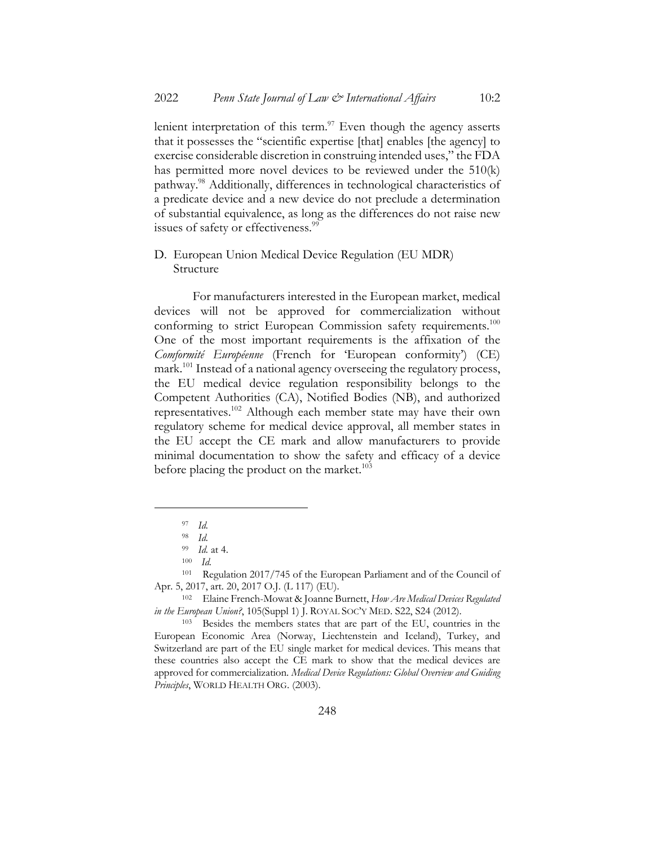lenient interpretation of this term. $\frac{97}{2}$  Even though the agency asserts that it possesses the "scientific expertise [that] enables [the agency] to exercise considerable discretion in construing intended uses," the FDA has permitted more novel devices to be reviewed under the 510(k) pathway.98 Additionally, differences in technological characteristics of a predicate device and a new device do not preclude a determination of substantial equivalence, as long as the differences do not raise new issues of safety or effectiveness.<sup>99</sup>

### D. European Union Medical Device Regulation (EU MDR) Structure

For manufacturers interested in the European market, medical devices will not be approved for commercialization without conforming to strict European Commission safety requirements.<sup>100</sup> One of the most important requirements is the affixation of the *Comformité Européenne* (French for 'European conformity') (CE) mark.<sup>101</sup> Instead of a national agency overseeing the regulatory process, the EU medical device regulation responsibility belongs to the Competent Authorities (CA), Notified Bodies (NB), and authorized representatives.102 Although each member state may have their own regulatory scheme for medical device approval, all member states in the EU accept the CE mark and allow manufacturers to provide minimal documentation to show the safety and efficacy of a device before placing the product on the market.<sup>103</sup>

<sup>97</sup> *Id.*

<sup>98</sup> *Id.*

<sup>99</sup> *Id.* at 4.

<sup>100</sup> *Id.*

<sup>101</sup> Regulation 2017/745 of the European Parliament and of the Council of Apr. 5, 2017, art. 20, 2017 O.J. (L 117) (EU).

<sup>102</sup> Elaine French-Mowat & Joanne Burnett, *How Are Medical Devices Regulated in the European Union?*, 105(Suppl 1) J. ROYAL SOC'Y MED. S22, S24 (2012).

<sup>103</sup> Besides the members states that are part of the EU, countries in the European Economic Area (Norway, Liechtenstein and Iceland), Turkey, and Switzerland are part of the EU single market for medical devices. This means that these countries also accept the CE mark to show that the medical devices are approved for commercialization. *Medical Device Regulations: Global Overview and Guiding Principles*, WORLD HEALTH ORG. (2003).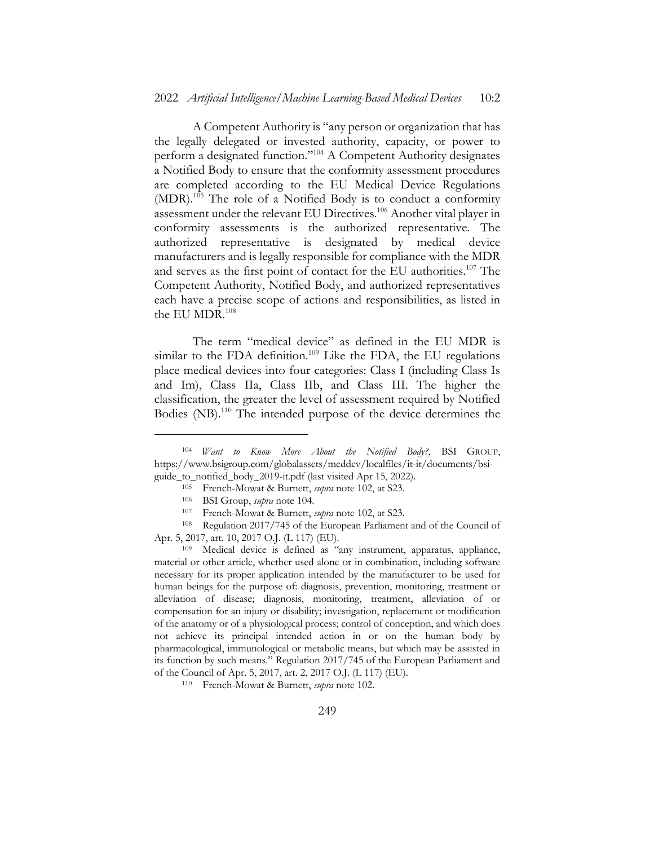A Competent Authority is "any person or organization that has the legally delegated or invested authority, capacity, or power to perform a designated function."104 A Competent Authority designates a Notified Body to ensure that the conformity assessment procedures are completed according to the EU Medical Device Regulations (MDR).<sup>105</sup> The role of a Notified Body is to conduct a conformity assessment under the relevant EU Directives.106 Another vital player in conformity assessments is the authorized representative. The authorized representative is designated by medical device manufacturers and is legally responsible for compliance with the MDR and serves as the first point of contact for the EU authorities.107 The Competent Authority, Notified Body, and authorized representatives each have a precise scope of actions and responsibilities, as listed in the EU MDR.<sup>108</sup>

The term "medical device" as defined in the EU MDR is similar to the FDA definition.<sup>109</sup> Like the FDA, the EU regulations place medical devices into four categories: Class I (including Class Is and Im), Class IIa, Class IIb, and Class III. The higher the classification, the greater the level of assessment required by Notified Bodies (NB).<sup>110</sup> The intended purpose of the device determines the

<sup>104</sup> *Want to Know More About the Notified Body?*, BSI GROUP, https://www.bsigroup.com/globalassets/meddev/localfiles/it-it/documents/bsiguide\_to\_notified\_body\_2019-it.pdf (last visited Apr 15, 2022).

<sup>105</sup> French-Mowat & Burnett, *supra* note 102, at S23.

<sup>106</sup> BSI Group, *supra* note 104.

<sup>107</sup> French-Mowat & Burnett, *supra* note 102, at S23.

<sup>108</sup> Regulation 2017/745 of the European Parliament and of the Council of Apr. 5, 2017, art. 10, 2017 O.J. (L 117) (EU).

<sup>109</sup> Medical device is defined as "any instrument, apparatus, appliance, material or other article, whether used alone or in combination, including software necessary for its proper application intended by the manufacturer to be used for human beings for the purpose of: diagnosis, prevention, monitoring, treatment or alleviation of disease; diagnosis, monitoring, treatment, alleviation of or compensation for an injury or disability; investigation, replacement or modification of the anatomy or of a physiological process; control of conception, and which does not achieve its principal intended action in or on the human body by pharmacological, immunological or metabolic means, but which may be assisted in its function by such means." Regulation 2017/745 of the European Parliament and of the Council of Apr. 5, 2017, art. 2, 2017 O.J. (L 117) (EU).

<sup>110</sup> French-Mowat & Burnett, *supra* note 102.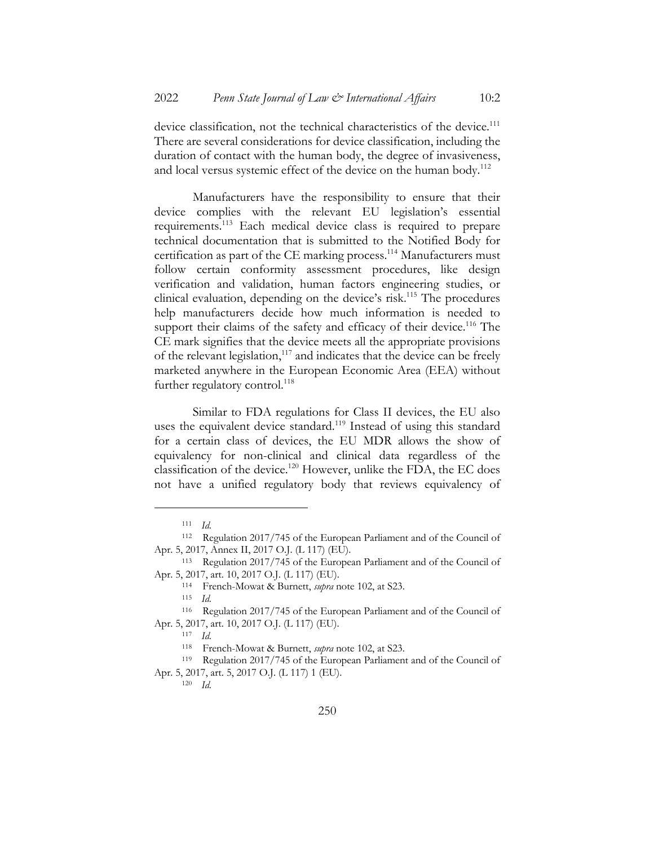device classification, not the technical characteristics of the device.<sup>111</sup> There are several considerations for device classification, including the duration of contact with the human body, the degree of invasiveness, and local versus systemic effect of the device on the human body.<sup>112</sup>

Manufacturers have the responsibility to ensure that their device complies with the relevant EU legislation's essential requirements.113 Each medical device class is required to prepare technical documentation that is submitted to the Notified Body for certification as part of the CE marking process.114 Manufacturers must follow certain conformity assessment procedures, like design verification and validation, human factors engineering studies, or clinical evaluation, depending on the device's risk.115 The procedures help manufacturers decide how much information is needed to support their claims of the safety and efficacy of their device.<sup>116</sup> The CE mark signifies that the device meets all the appropriate provisions of the relevant legislation,<sup>117</sup> and indicates that the device can be freely marketed anywhere in the European Economic Area (EEA) without further regulatory control. $^{118}$ 

Similar to FDA regulations for Class II devices, the EU also uses the equivalent device standard.<sup>119</sup> Instead of using this standard for a certain class of devices, the EU MDR allows the show of equivalency for non-clinical and clinical data regardless of the classification of the device.120 However, unlike the FDA, the EC does not have a unified regulatory body that reviews equivalency of

<sup>120</sup> *Id.*

<sup>111</sup> *Id.*

<sup>112</sup> Regulation 2017/745 of the European Parliament and of the Council of Apr. 5, 2017, Annex II, 2017 O.J. (L 117) (EU).

<sup>113</sup> Regulation 2017/745 of the European Parliament and of the Council of Apr. 5, 2017, art. 10, 2017 O.J. (L 117) (EU).

<sup>114</sup> French-Mowat & Burnett, *supra* note 102, at S23.

<sup>115</sup> *Id.*

<sup>116</sup> Regulation 2017/745 of the European Parliament and of the Council of Apr. 5, 2017, art. 10, 2017 O.J. (L 117) (EU).

<sup>117</sup> *Id.*

<sup>118</sup> French-Mowat & Burnett, *supra* note 102, at S23.

<sup>119</sup> Regulation 2017/745 of the European Parliament and of the Council of Apr. 5, 2017, art. 5, 2017 O.J. (L 117) 1 (EU).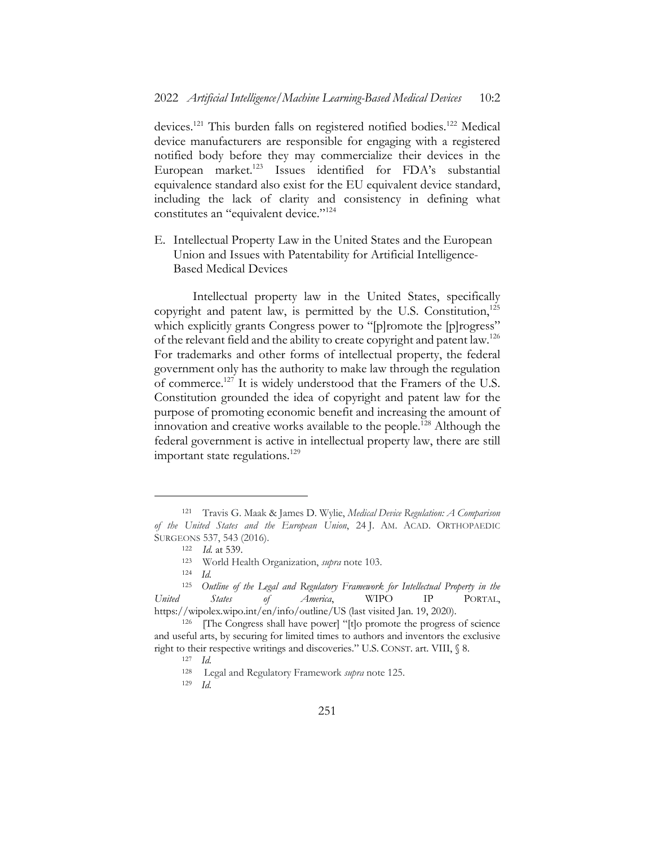devices.<sup>121</sup> This burden falls on registered notified bodies.<sup>122</sup> Medical device manufacturers are responsible for engaging with a registered notified body before they may commercialize their devices in the European market.<sup>123</sup> Issues identified for FDA's substantial equivalence standard also exist for the EU equivalent device standard, including the lack of clarity and consistency in defining what constitutes an "equivalent device."<sup>124</sup>

E. Intellectual Property Law in the United States and the European Union and Issues with Patentability for Artificial Intelligence-Based Medical Devices

Intellectual property law in the United States, specifically copyright and patent law, is permitted by the U.S. Constitution,<sup>125</sup> which explicitly grants Congress power to "[p]romote the [p]rogress" of the relevant field and the ability to create copyright and patent law.<sup>126</sup> For trademarks and other forms of intellectual property, the federal government only has the authority to make law through the regulation of commerce.127 It is widely understood that the Framers of the U.S. Constitution grounded the idea of copyright and patent law for the purpose of promoting economic benefit and increasing the amount of innovation and creative works available to the people.128 Although the federal government is active in intellectual property law, there are still important state regulations. $129$ 

<sup>121</sup> Travis G. Maak & James D. Wylie, *Medical Device Regulation: A Comparison of the United States and the European Union*, 24 J. AM. ACAD. ORTHOPAEDIC SURGEONS 537, 543 (2016).

<sup>122</sup> *Id.* at 539.

<sup>123</sup> World Health Organization, *supra* note 103.

<sup>124</sup> *Id.*

<sup>125</sup> *Outline of the Legal and Regulatory Framework for Intellectual Property in the United States of America*, WIPO IP PORTAL, https://wipolex.wipo.int/en/info/outline/US (last visited Jan. 19, 2020).

<sup>126</sup> [The Congress shall have power] "[t]o promote the progress of science and useful arts, by securing for limited times to authors and inventors the exclusive right to their respective writings and discoveries." U.S. CONST. art. VIII, § 8.

<sup>127</sup> *Id.*

<sup>128</sup> Legal and Regulatory Framework *supra* note 125.

<sup>129</sup> *Id.*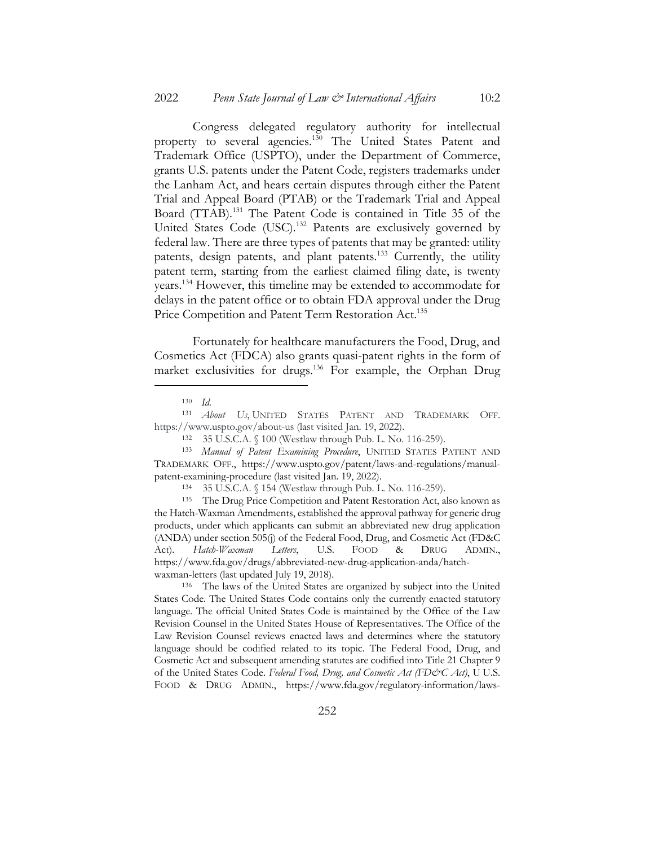Congress delegated regulatory authority for intellectual property to several agencies.<sup>130</sup> The United States Patent and Trademark Office (USPTO), under the Department of Commerce, grants U.S. patents under the Patent Code, registers trademarks under the Lanham Act, and hears certain disputes through either the Patent Trial and Appeal Board (PTAB) or the Trademark Trial and Appeal Board (TTAB).<sup>131</sup> The Patent Code is contained in Title 35 of the United States Code (USC).<sup>132</sup> Patents are exclusively governed by federal law. There are three types of patents that may be granted: utility patents, design patents, and plant patents.<sup>133</sup> Currently, the utility patent term, starting from the earliest claimed filing date, is twenty years.134 However, this timeline may be extended to accommodate for delays in the patent office or to obtain FDA approval under the Drug Price Competition and Patent Term Restoration Act.<sup>135</sup>

Fortunately for healthcare manufacturers the Food, Drug, and Cosmetics Act (FDCA) also grants quasi-patent rights in the form of market exclusivities for drugs.<sup>136</sup> For example, the Orphan Drug

<sup>131</sup> *About Us*, UNITED STATES PATENT AND TRADEMARK OFF. https://www.uspto.gov/about-us (last visited Jan. 19, 2022).

<sup>130</sup> *Id.*

<sup>132</sup> 35 U.S.C.A. § 100 (Westlaw through Pub. L. No. 116-259).

<sup>133</sup> *Manual of Patent Examining Procedure*, UNITED STATES PATENT AND TRADEMARK OFF., https://www.uspto.gov/patent/laws-and-regulations/manualpatent-examining-procedure (last visited Jan. 19, 2022).

<sup>134</sup> 35 U.S.C.A. § 154 (Westlaw through Pub. L. No. 116-259).

<sup>135</sup> The Drug Price Competition and Patent Restoration Act, also known as the Hatch-Waxman Amendments, established the approval pathway for generic drug products, under which applicants can submit an abbreviated new drug application (ANDA) under section 505(j) of the Federal Food, Drug, and Cosmetic Act (FD&C Act). *Hatch-Waxman Letters*, U.S. FOOD & DRUG ADMIN., https://www.fda.gov/drugs/abbreviated-new-drug-application-anda/hatchwaxman-letters (last updated July 19, 2018).

<sup>136</sup> The laws of the United States are organized by subject into the United States Code. The United States Code contains only the currently enacted statutory language. The official United States Code is maintained by the Office of the Law Revision Counsel in the United States House of Representatives. The Office of the Law Revision Counsel reviews enacted laws and determines where the statutory language should be codified related to its topic. The Federal Food, Drug, and Cosmetic Act and subsequent amending statutes are codified into Title 21 Chapter 9 of the United States Code. *Federal Food, Drug, and Cosmetic Act (FD&C Act)*, U U.S. FOOD & DRUG ADMIN., https://www.fda.gov/regulatory-information/laws-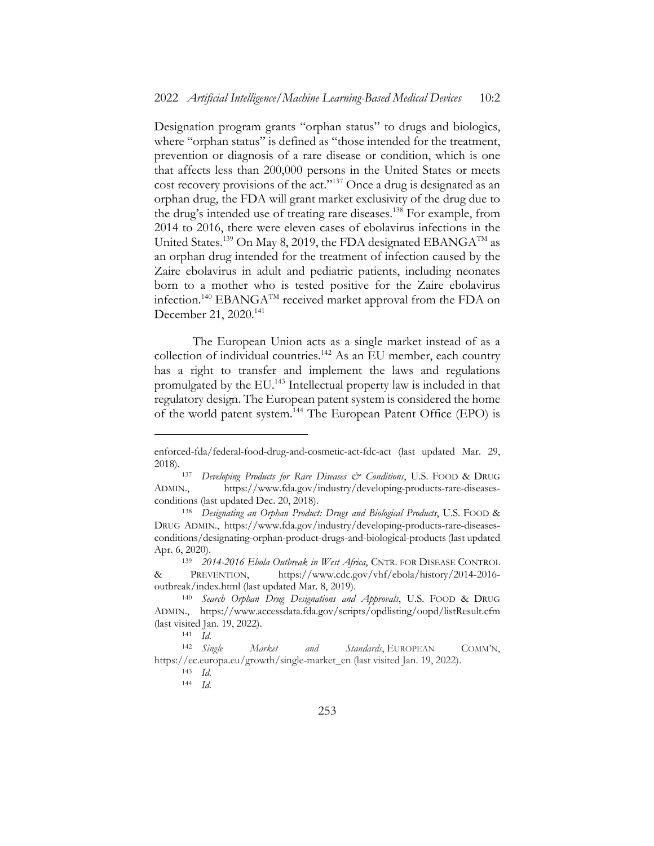Designation program grants "orphan status" to drugs and biologics, where "orphan status" is defined as "those intended for the treatment, prevention or diagnosis of a rare disease or condition, which is one that affects less than 200,000 persons in the United States or meets cost recovery provisions of the act."137 Once a drug is designated as an orphan drug, the FDA will grant market exclusivity of the drug due to the drug's intended use of treating rare diseases.<sup>138</sup> For example, from 2014 to 2016, there were eleven cases of ebolavirus infections in the United States.<sup>139</sup> On May 8, 2019, the FDA designated EBANGA<sup>TM</sup> as an orphan drug intended for the treatment of infection caused by the Zaire ebolavirus in adult and pediatric patients, including neonates born to a mother who is tested positive for the Zaire ebolavirus infection.<sup>140</sup> EBANGA<sup>TM</sup> received market approval from the FDA on December 21, 2020.<sup>141</sup>

The European Union acts as a single market instead of as a collection of individual countries.<sup>142</sup> As an EU member, each country has a right to transfer and implement the laws and regulations promulgated by the EU.143 Intellectual property law is included in that regulatory design. The European patent system is considered the home of the world patent system.<sup>144</sup> The European Patent Office (EPO) is

enforced-fda/federal-food-drug-and-cosmetic-act-fdc-act (last updated Mar. 29, 2018).

<sup>137</sup> *Developing Products for Rare Diseases & Conditions*, U.S. FOOD & DRUG ADMIN., https://www.fda.gov/industry/developing-products-rare-diseasesconditions (last updated Dec. 20, 2018).

<sup>138</sup> *Designating an Orphan Product: Drugs and Biological Products*, U.S. FOOD & DRUG ADMIN., https://www.fda.gov/industry/developing-products-rare-diseasesconditions/designating-orphan-product-drugs-and-biological-products (last updated Apr. 6, 2020).

<sup>139</sup> *2014-2016 Ebola Outbreak in West Africa*, CNTR. FOR DISEASE CONTROL & PREVENTION, https://www.cdc.gov/vhf/ebola/history/2014-2016 outbreak/index.html (last updated Mar. 8, 2019).

<sup>140</sup> *Search Orphan Drug Designations and Approvals*, U.S. FOOD & DRUG ADMIN., https://www.accessdata.fda.gov/scripts/opdlisting/oopd/listResult.cfm (last visited Jan. 19, 2022).

<sup>141</sup> *Id.*

<sup>142</sup> *Single Market and Standards*, EUROPEAN COMM'N, https://ec.europa.eu/growth/single-market\_en (last visited Jan. 19, 2022).

<sup>143</sup> *Id.*

<sup>144</sup> *Id.*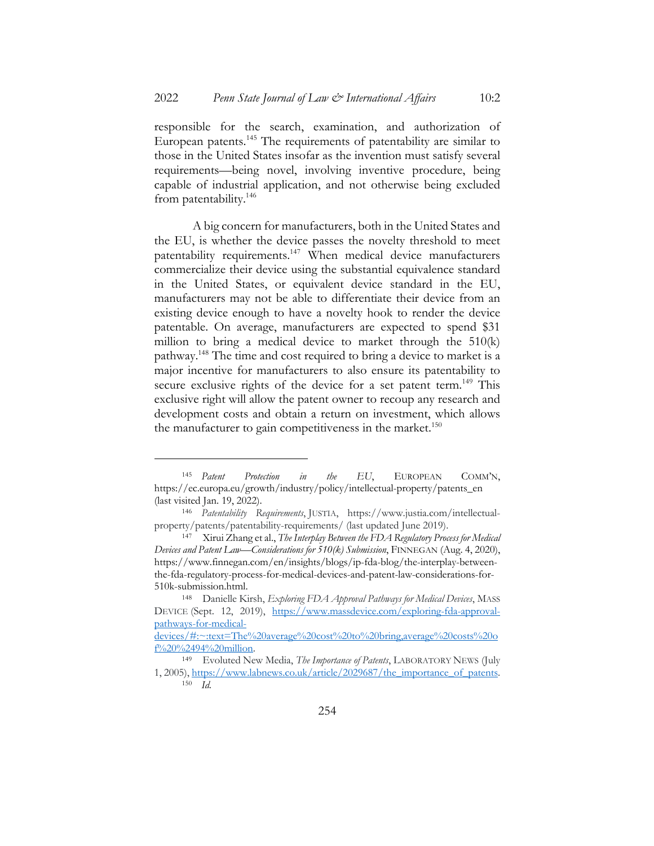responsible for the search, examination, and authorization of European patents.145 The requirements of patentability are similar to those in the United States insofar as the invention must satisfy several requirements—being novel, involving inventive procedure, being capable of industrial application, and not otherwise being excluded from patentability.146

A big concern for manufacturers, both in the United States and the EU, is whether the device passes the novelty threshold to meet patentability requirements.<sup>147</sup> When medical device manufacturers commercialize their device using the substantial equivalence standard in the United States, or equivalent device standard in the EU, manufacturers may not be able to differentiate their device from an existing device enough to have a novelty hook to render the device patentable. On average, manufacturers are expected to spend \$31 million to bring a medical device to market through the 510(k) pathway.148 The time and cost required to bring a device to market is a major incentive for manufacturers to also ensure its patentability to secure exclusive rights of the device for a set patent term.<sup>149</sup> This exclusive right will allow the patent owner to recoup any research and development costs and obtain a return on investment, which allows the manufacturer to gain competitiveness in the market.<sup>150</sup>

<sup>145</sup> *Patent Protection in the EU*, EUROPEAN COMM'N, https://ec.europa.eu/growth/industry/policy/intellectual-property/patents\_en (last visited Jan. 19, 2022).

<sup>146</sup> *Patentability Requirements*, JUSTIA, https://www.justia.com/intellectualproperty/patents/patentability-requirements/ (last updated June 2019).

<sup>147</sup> Xirui Zhang et al., *The Interplay Between the FDA Regulatory Process for Medical Devices and Patent Law—Considerations for 510(k) Submission*, FINNEGAN (Aug. 4, 2020), https://www.finnegan.com/en/insights/blogs/ip-fda-blog/the-interplay-betweenthe-fda-regulatory-process-for-medical-devices-and-patent-law-considerations-for-510k-submission.html.

<sup>148</sup> Danielle Kirsh, *Exploring FDA Approval Pathways for Medical Devices*, MASS DEVICE (Sept. 12, 2019), https://www.massdevice.com/exploring-fda-approvalpathways-for-medical-

devices/#:~:text=The%20average%20cost%20to%20bring,average%20costs%20o f%20%2494%20million.

<sup>149</sup> Evoluted New Media, *The Importance of Patents*, LABORATORY NEWS (July 1, 2005), https://www.labnews.co.uk/article/2029687/the\_importance\_of\_patents. <sup>150</sup> *Id.*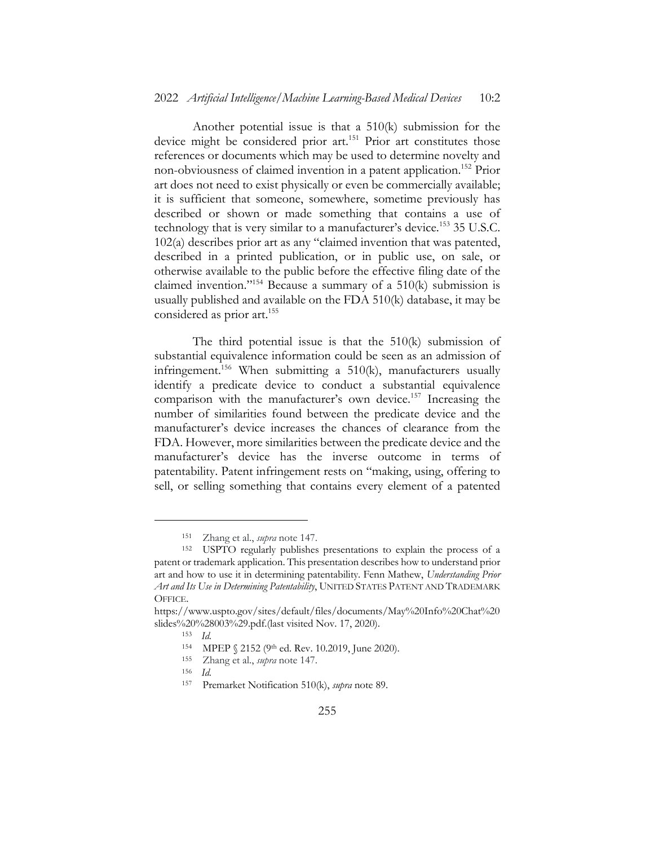Another potential issue is that a 510(k) submission for the device might be considered prior art.<sup>151</sup> Prior art constitutes those references or documents which may be used to determine novelty and non-obviousness of claimed invention in a patent application.152 Prior art does not need to exist physically or even be commercially available; it is sufficient that someone, somewhere, sometime previously has described or shown or made something that contains a use of technology that is very similar to a manufacturer's device.<sup>153</sup> 35 U.S.C. 102(a) describes prior art as any "claimed invention that was patented, described in a printed publication, or in public use, on sale, or otherwise available to the public before the effective filing date of the claimed invention."154 Because a summary of a 510(k) submission is usually published and available on the FDA 510(k) database, it may be considered as prior art.<sup>155</sup>

The third potential issue is that the 510(k) submission of substantial equivalence information could be seen as an admission of infringement.<sup>156</sup> When submitting a  $510(k)$ , manufacturers usually identify a predicate device to conduct a substantial equivalence comparison with the manufacturer's own device.157 Increasing the number of similarities found between the predicate device and the manufacturer's device increases the chances of clearance from the FDA. However, more similarities between the predicate device and the manufacturer's device has the inverse outcome in terms of patentability. Patent infringement rests on "making, using, offering to sell, or selling something that contains every element of a patented

<sup>151</sup> Zhang et al., *supra* note 147.

<sup>152</sup> USPTO regularly publishes presentations to explain the process of a patent or trademark application. This presentation describes how to understand prior art and how to use it in determining patentability. Fenn Mathew, *Understanding Prior Art and Its Use in Determining Patentability*, UNITED STATES PATENT AND TRADEMARK OFFICE.

https://www.uspto.gov/sites/default/files/documents/May%20Info%20Chat%20 slides%20%28003%29.pdf.(last visited Nov. 17, 2020).

<sup>153</sup> *Id.*

<sup>154</sup> MPEP § 2152 (9th ed. Rev. 10.2019, June 2020).

<sup>155</sup> Zhang et al., *supra* note 147.

<sup>156</sup> *Id.*

<sup>157</sup> Premarket Notification 510(k), *supra* note 89.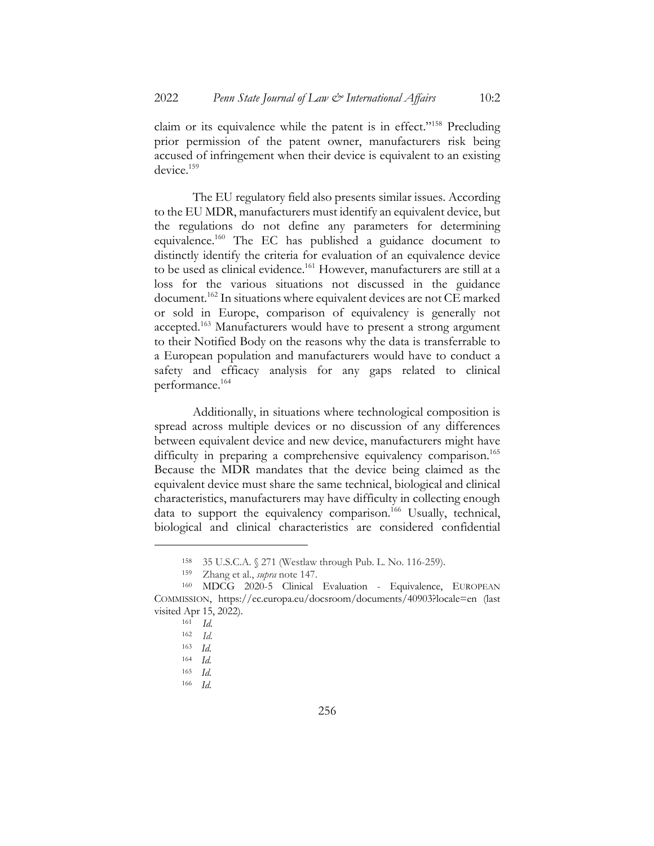claim or its equivalence while the patent is in effect."<sup>158</sup> Precluding prior permission of the patent owner, manufacturers risk being accused of infringement when their device is equivalent to an existing device.<sup>159</sup>

The EU regulatory field also presents similar issues. According to the EU MDR, manufacturers must identify an equivalent device, but the regulations do not define any parameters for determining equivalence.160 The EC has published a guidance document to distinctly identify the criteria for evaluation of an equivalence device to be used as clinical evidence.<sup>161</sup> However, manufacturers are still at a loss for the various situations not discussed in the guidance document.<sup>162</sup> In situations where equivalent devices are not CE marked or sold in Europe, comparison of equivalency is generally not accepted.163 Manufacturers would have to present a strong argument to their Notified Body on the reasons why the data is transferrable to a European population and manufacturers would have to conduct a safety and efficacy analysis for any gaps related to clinical performance.164

Additionally, in situations where technological composition is spread across multiple devices or no discussion of any differences between equivalent device and new device, manufacturers might have difficulty in preparing a comprehensive equivalency comparison.<sup>165</sup> Because the MDR mandates that the device being claimed as the equivalent device must share the same technical, biological and clinical characteristics, manufacturers may have difficulty in collecting enough data to support the equivalency comparison.<sup>166</sup> Usually, technical, biological and clinical characteristics are considered confidential

<sup>158</sup> 35 U.S.C.A. § 271 (Westlaw through Pub. L. No. 116-259).

<sup>159</sup> Zhang et al., *supra* note 147.

<sup>160</sup> MDCG 2020-5 Clinical Evaluation - Equivalence, EUROPEAN COMMISSION, https://ec.europa.eu/docsroom/documents/40903?locale=en (last visited Apr 15, 2022).

<sup>161</sup> *Id.*

<sup>162</sup> *Id.*

<sup>163</sup> *Id.*

<sup>164</sup> *Id.*

<sup>165</sup> *Id.*

<sup>166</sup> *Id.*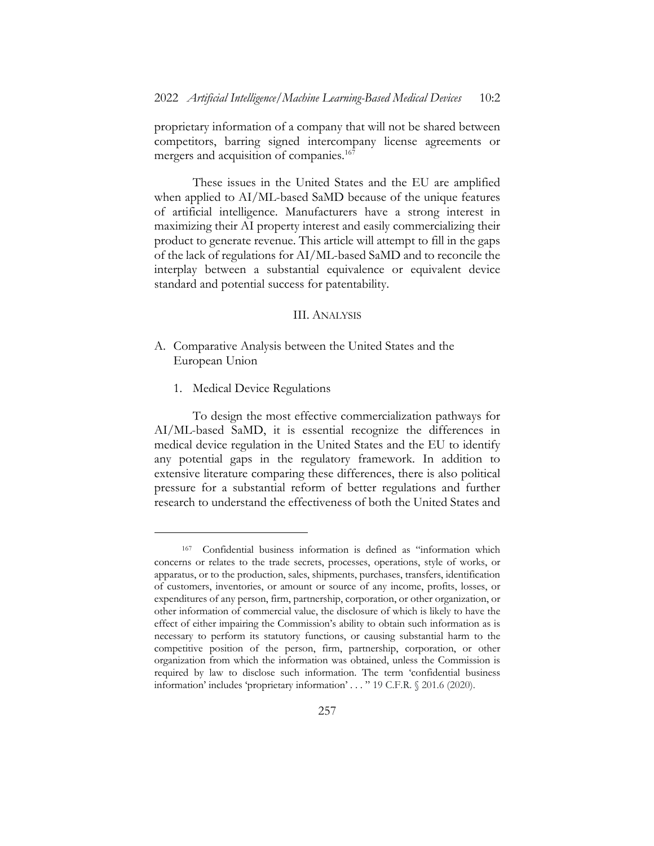proprietary information of a company that will not be shared between competitors, barring signed intercompany license agreements or mergers and acquisition of companies.<sup>167</sup>

These issues in the United States and the EU are amplified when applied to AI/ML-based SaMD because of the unique features of artificial intelligence. Manufacturers have a strong interest in maximizing their AI property interest and easily commercializing their product to generate revenue. This article will attempt to fill in the gaps of the lack of regulations for AI/ML-based SaMD and to reconcile the interplay between a substantial equivalence or equivalent device standard and potential success for patentability.

#### III. ANALYSIS

- A. Comparative Analysis between the United States and the European Union
	- 1. Medical Device Regulations

To design the most effective commercialization pathways for AI/ML-based SaMD, it is essential recognize the differences in medical device regulation in the United States and the EU to identify any potential gaps in the regulatory framework. In addition to extensive literature comparing these differences, there is also political pressure for a substantial reform of better regulations and further research to understand the effectiveness of both the United States and

<sup>167</sup> Confidential business information is defined as "information which concerns or relates to the trade secrets, processes, operations, style of works, or apparatus, or to the production, sales, shipments, purchases, transfers, identification of customers, inventories, or amount or source of any income, profits, losses, or expenditures of any person, firm, partnership, corporation, or other organization, or other information of commercial value, the disclosure of which is likely to have the effect of either impairing the Commission's ability to obtain such information as is necessary to perform its statutory functions, or causing substantial harm to the competitive position of the person, firm, partnership, corporation, or other organization from which the information was obtained, unless the Commission is required by law to disclose such information. The term 'confidential business information' includes 'proprietary information' . . . " 19 C.F.R. § 201.6 (2020).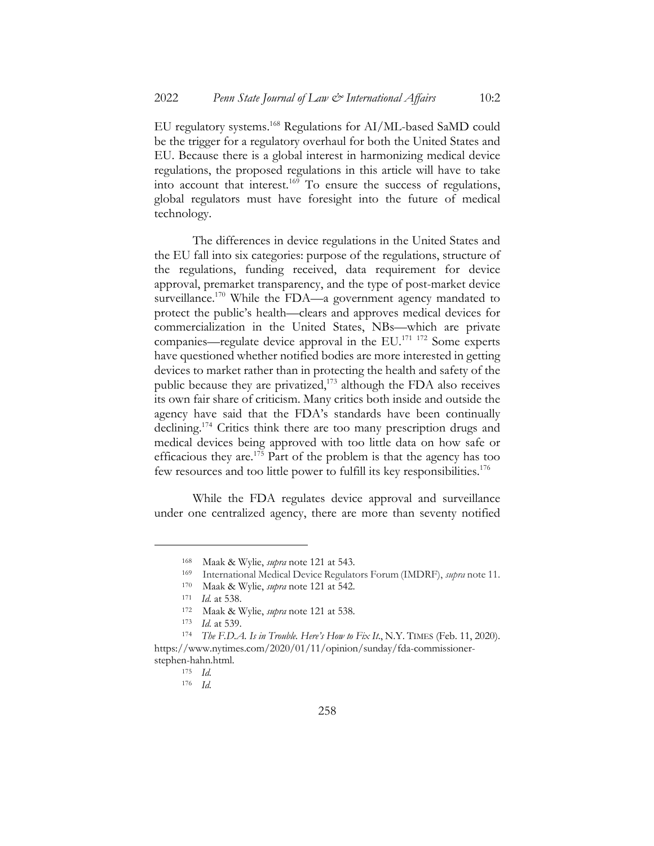EU regulatory systems.168 Regulations for AI/ML-based SaMD could be the trigger for a regulatory overhaul for both the United States and EU. Because there is a global interest in harmonizing medical device regulations, the proposed regulations in this article will have to take into account that interest.169 To ensure the success of regulations, global regulators must have foresight into the future of medical technology.

The differences in device regulations in the United States and the EU fall into six categories: purpose of the regulations, structure of the regulations, funding received, data requirement for device approval, premarket transparency, and the type of post-market device surveillance.<sup>170</sup> While the FDA—a government agency mandated to protect the public's health—clears and approves medical devices for commercialization in the United States, NBs—which are private companies—regulate device approval in the  $EU^{171}$  172 Some experts have questioned whether notified bodies are more interested in getting devices to market rather than in protecting the health and safety of the public because they are privatized,<sup>173</sup> although the FDA also receives its own fair share of criticism. Many critics both inside and outside the agency have said that the FDA's standards have been continually declining.<sup>174</sup> Critics think there are too many prescription drugs and medical devices being approved with too little data on how safe or efficacious they are.<sup>175</sup> Part of the problem is that the agency has too few resources and too little power to fulfill its key responsibilities.176

While the FDA regulates device approval and surveillance under one centralized agency, there are more than seventy notified

<sup>168</sup> Maak & Wylie, *supra* note 121 at 543.

<sup>169</sup> International Medical Device Regulators Forum (IMDRF), *supra* note 11.

<sup>170</sup> Maak & Wylie, *supra* note 121 at 542.

<sup>171</sup> *Id.* at 538.

<sup>172</sup> Maak & Wylie, *supra* note 121 at 538.

<sup>173</sup> *Id.* at 539.

<sup>174</sup> *The F.D.A. Is in Trouble. Here's How to Fix It*., N.Y. TIMES (Feb. 11, 2020). https://www.nytimes.com/2020/01/11/opinion/sunday/fda-commissionerstephen-hahn.html.

<sup>175</sup> *Id.*

<sup>176</sup> *Id.*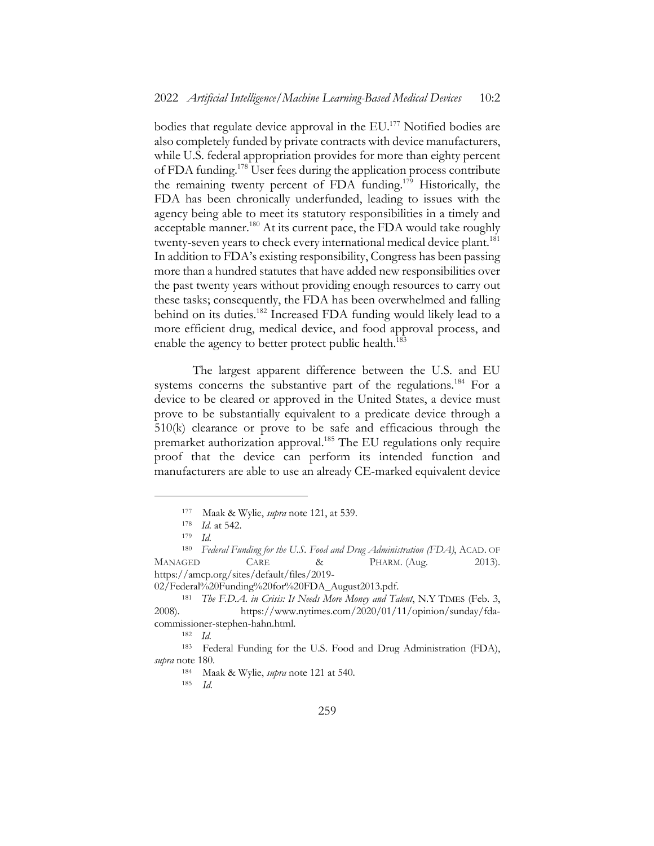bodies that regulate device approval in the EU.<sup>177</sup> Notified bodies are also completely funded by private contracts with device manufacturers, while U.S. federal appropriation provides for more than eighty percent of FDA funding.<sup>178</sup> User fees during the application process contribute the remaining twenty percent of FDA funding.179 Historically, the FDA has been chronically underfunded, leading to issues with the agency being able to meet its statutory responsibilities in a timely and acceptable manner.<sup>180</sup> At its current pace, the FDA would take roughly twenty-seven years to check every international medical device plant.<sup>181</sup> In addition to FDA's existing responsibility, Congress has been passing more than a hundred statutes that have added new responsibilities over the past twenty years without providing enough resources to carry out these tasks; consequently, the FDA has been overwhelmed and falling behind on its duties.<sup>182</sup> Increased FDA funding would likely lead to a more efficient drug, medical device, and food approval process, and enable the agency to better protect public health.<sup>183</sup>

The largest apparent difference between the U.S. and EU systems concerns the substantive part of the regulations.<sup>184</sup> For a device to be cleared or approved in the United States, a device must prove to be substantially equivalent to a predicate device through a 510(k) clearance or prove to be safe and efficacious through the premarket authorization approval.<sup>185</sup> The EU regulations only require proof that the device can perform its intended function and manufacturers are able to use an already CE-marked equivalent device

<sup>177</sup> Maak & Wylie, *supra* note 121, at 539.

<sup>178</sup> *Id.* at 542.

<sup>179</sup> *Id.*

<sup>180</sup> *Federal Funding for the U.S. Food and Drug Administration (FDA)*, ACAD. OF MANAGED CARE & PHARM. (Aug. 2013). https://amcp.org/sites/default/files/2019-

<sup>02/</sup>Federal%20Funding%20for%20FDA\_August2013.pdf.

<sup>181</sup> *The F.D.A. in Crisis: It Needs More Money and Talent*, N.Y TIMES (Feb. 3, 2008). https://www.nytimes.com/2020/01/11/opinion/sunday/fdacommissioner-stephen-hahn.html.

<sup>182</sup> *Id.*

<sup>183</sup> Federal Funding for the U.S. Food and Drug Administration (FDA), *supra* note 180.

<sup>184</sup> Maak & Wylie, *supra* note 121 at 540.

<sup>185</sup> *Id.*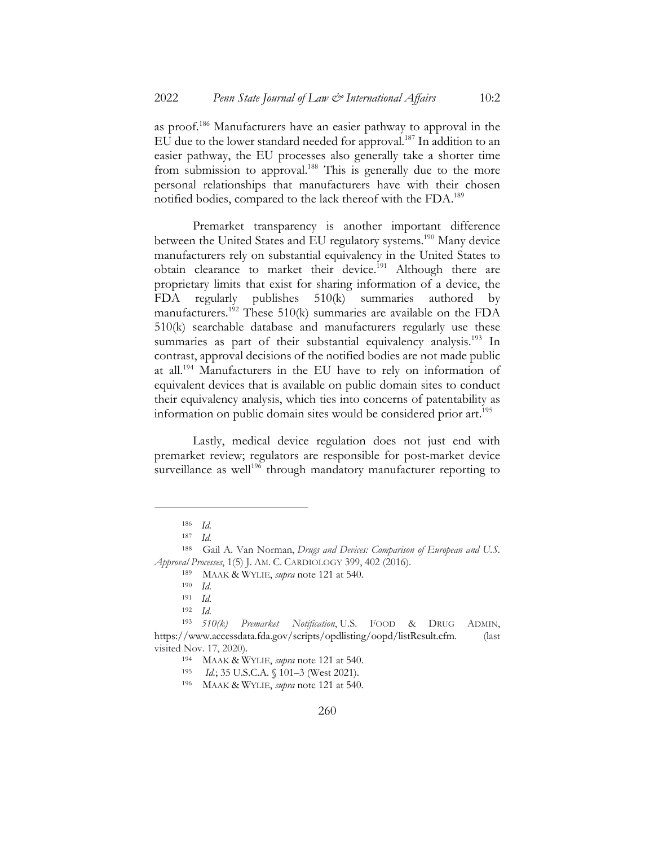as proof.186 Manufacturers have an easier pathway to approval in the EU due to the lower standard needed for approval.<sup>187</sup> In addition to an easier pathway, the EU processes also generally take a shorter time from submission to approval.<sup>188</sup> This is generally due to the more personal relationships that manufacturers have with their chosen notified bodies, compared to the lack thereof with the FDA.<sup>189</sup>

Premarket transparency is another important difference between the United States and EU regulatory systems.<sup>190</sup> Many device manufacturers rely on substantial equivalency in the United States to obtain clearance to market their device.<sup>191</sup> Although there are proprietary limits that exist for sharing information of a device, the FDA regularly publishes 510(k) summaries authored by manufacturers.<sup>192</sup> These 510(k) summaries are available on the FDA 510(k) searchable database and manufacturers regularly use these summaries as part of their substantial equivalency analysis.<sup>193</sup> In contrast, approval decisions of the notified bodies are not made public at all.194 Manufacturers in the EU have to rely on information of equivalent devices that is available on public domain sites to conduct their equivalency analysis, which ties into concerns of patentability as information on public domain sites would be considered prior art.<sup>195</sup>

Lastly, medical device regulation does not just end with premarket review; regulators are responsible for post-market device surveillance as well<sup>196</sup> through mandatory manufacturer reporting to

<sup>186</sup> *Id.*

<sup>187</sup> *Id.*

<sup>188</sup> Gail A. Van Norman, *Drugs and Devices: Comparison of European and U.S. Approval Processes*, 1(5) J. AM. C. CARDIOLOGY 399, 402 (2016).

<sup>189</sup> MAAK & WYLIE, *supra* note 121 at 540.

 $\frac{190}{191}$  *Id.* 

<sup>191</sup> *Id.*

<sup>192</sup> *Id.*

<sup>193</sup> *510(k) Premarket Notification*, U.S. FOOD & DRUG ADMIN, https://www.accessdata.fda.gov/scripts/opdlisting/oopd/listResult.cfm. (last visited Nov. 17, 2020).

<sup>194</sup> MAAK & WYLIE, *supra* note 121 at 540.

<sup>195</sup> *Id.*; 35 U.S.C.A. § 101–3 (West 2021).

<sup>196</sup> MAAK & WYLIE, *supra* note 121 at 540.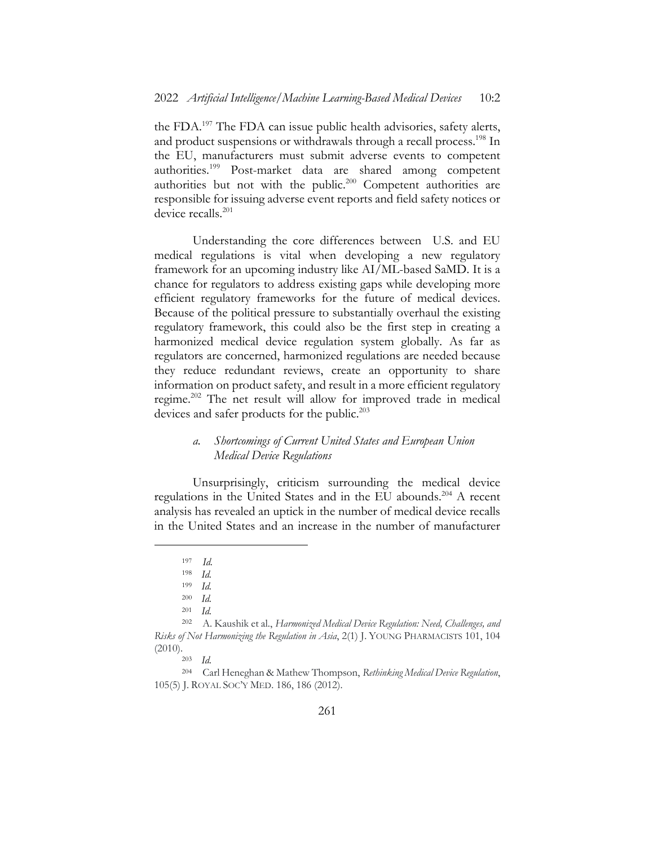the FDA.197 The FDA can issue public health advisories, safety alerts, and product suspensions or withdrawals through a recall process.<sup>198</sup> In the EU, manufacturers must submit adverse events to competent authorities.199 Post-market data are shared among competent authorities but not with the public.<sup>200</sup> Competent authorities are responsible for issuing adverse event reports and field safety notices or device recalls.<sup>201</sup>

Understanding the core differences between U.S. and EU medical regulations is vital when developing a new regulatory framework for an upcoming industry like AI/ML-based SaMD. It is a chance for regulators to address existing gaps while developing more efficient regulatory frameworks for the future of medical devices. Because of the political pressure to substantially overhaul the existing regulatory framework, this could also be the first step in creating a harmonized medical device regulation system globally. As far as regulators are concerned, harmonized regulations are needed because they reduce redundant reviews, create an opportunity to share information on product safety, and result in a more efficient regulatory regime.202 The net result will allow for improved trade in medical devices and safer products for the public.<sup>203</sup>

## *a. Shortcomings of Current United States and European Union Medical Device Regulations*

Unsurprisingly, criticism surrounding the medical device regulations in the United States and in the EU abounds.<sup>204</sup> A recent analysis has revealed an uptick in the number of medical device recalls in the United States and an increase in the number of manufacturer

<sup>197</sup> *Id.*

<sup>198</sup> *Id.*

 $\frac{199}{200}$  *Id.* 

*Id.* 

<sup>201</sup> *Id.*

<sup>202</sup> A. Kaushik et al., *Harmonized Medical Device Regulation: Need, Challenges, and Risks of Not Harmonizing the Regulation in Asia*, 2(1) J. YOUNG PHARMACISTS 101, 104  $(2010).$ <sup>203</sup> *Id.* 

<sup>204</sup> Carl Heneghan & Mathew Thompson, *Rethinking Medical Device Regulation*, 105(5) J. ROYAL SOC'Y MED. 186, 186 (2012).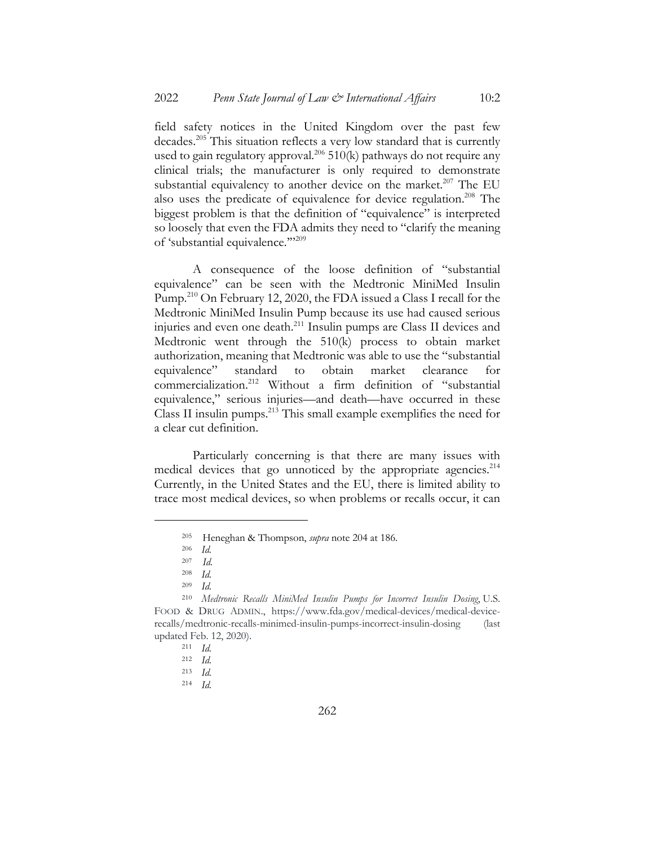field safety notices in the United Kingdom over the past few decades.205 This situation reflects a very low standard that is currently used to gain regulatory approval.<sup>206</sup> 510(k) pathways do not require any clinical trials; the manufacturer is only required to demonstrate substantial equivalency to another device on the market.<sup>207</sup> The EU also uses the predicate of equivalence for device regulation.<sup>208</sup> The biggest problem is that the definition of "equivalence" is interpreted so loosely that even the FDA admits they need to "clarify the meaning of 'substantial equivalence."<sup>209</sup>

A consequence of the loose definition of "substantial equivalence" can be seen with the Medtronic MiniMed Insulin Pump.210 On February 12, 2020, the FDA issued a Class I recall for the Medtronic MiniMed Insulin Pump because its use had caused serious injuries and even one death.211 Insulin pumps are Class II devices and Medtronic went through the 510(k) process to obtain market authorization, meaning that Medtronic was able to use the "substantial equivalence" standard to obtain market clearance for commercialization.212 Without a firm definition of "substantial equivalence," serious injuries—and death—have occurred in these Class II insulin pumps.213 This small example exemplifies the need for a clear cut definition.

Particularly concerning is that there are many issues with medical devices that go unnoticed by the appropriate agencies.<sup>214</sup> Currently, in the United States and the EU, there is limited ability to trace most medical devices, so when problems or recalls occur, it can

<sup>205</sup> Heneghan & Thompson, *supra* note 204 at 186.

<sup>206</sup> *Id.*

<sup>207</sup> *Id.*

 $\frac{208}{209}$  *Id.* 

*Id.* 

<sup>210</sup> *Medtronic Recalls MiniMed Insulin Pumps for Incorrect Insulin Dosing*, U.S. FOOD & DRUG ADMIN., https://www.fda.gov/medical-devices/medical-devicerecalls/medtronic-recalls-minimed-insulin-pumps-incorrect-insulin-dosing (last updated Feb. 12, 2020).

<sup>211</sup> *Id.*

<sup>212</sup> *Id.*

<sup>213</sup> *Id.*

<sup>214</sup> *Id.*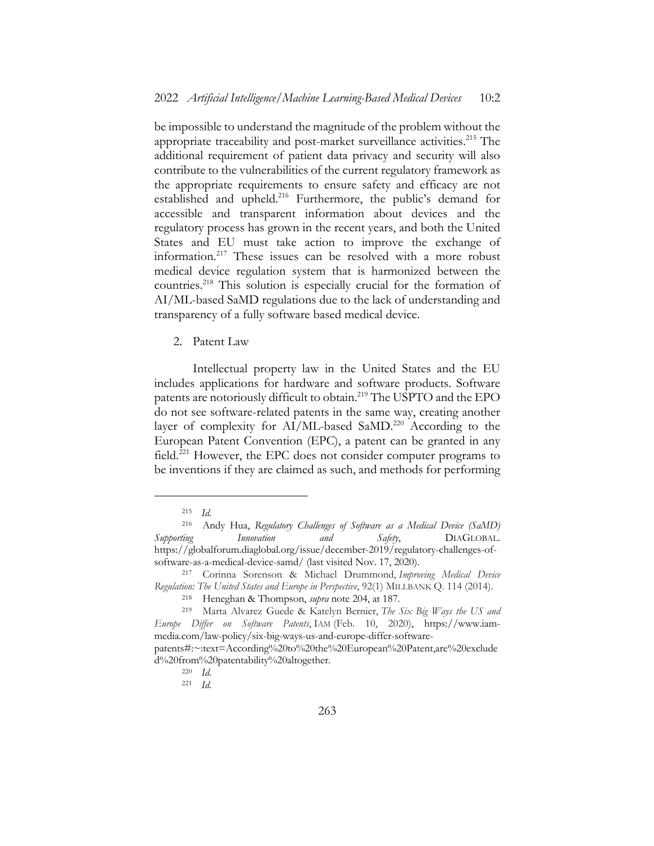be impossible to understand the magnitude of the problem without the appropriate traceability and post-market surveillance activities.<sup>215</sup> The additional requirement of patient data privacy and security will also contribute to the vulnerabilities of the current regulatory framework as the appropriate requirements to ensure safety and efficacy are not established and upheld.<sup>216</sup> Furthermore, the public's demand for accessible and transparent information about devices and the regulatory process has grown in the recent years, and both the United States and EU must take action to improve the exchange of information.217 These issues can be resolved with a more robust medical device regulation system that is harmonized between the countries.218 This solution is especially crucial for the formation of AI/ML-based SaMD regulations due to the lack of understanding and transparency of a fully software based medical device.

2. Patent Law

Intellectual property law in the United States and the EU includes applications for hardware and software products. Software patents are notoriously difficult to obtain.<sup>219</sup> The USPTO and the EPO do not see software-related patents in the same way, creating another layer of complexity for AI/ML-based SaMD.<sup>220</sup> According to the European Patent Convention (EPC), a patent can be granted in any field.<sup>221</sup> However, the EPC does not consider computer programs to be inventions if they are claimed as such, and methods for performing

<sup>215</sup> *Id.*

<sup>216</sup> Andy Hua, *Regulatory Challenges of Software as a Medical Device (SaMD) Supporting Innovation and Safety*, DIAGLOBAL. https://globalforum.diaglobal.org/issue/december-2019/regulatory-challenges-ofsoftware-as-a-medical-device-samd/ (last visited Nov. 17, 2020).

<sup>217</sup> Corinna Sorenson & Michael Drummond, *Improving Medical Device Regulation: The United States and Europe in Perspective*, 92(1) MILLBANK Q. 114 (2014).

<sup>218</sup> Heneghan & Thompson, *supra* note 204, at 187.

<sup>219</sup> Marta Alvarez Guede & Katelyn Bernier, *The Six Big Ways the US and Europe Differ on Software Patents*, IAM (Feb. 10, 2020), https://www.iammedia.com/law-policy/six-big-ways-us-and-europe-differ-software-

patents#:~:text=According%20to%20the%20European%20Patent,are%20exclude d%20from%20patentability%20altogether.

<sup>220</sup> *Id.*

<sup>221</sup> *Id.*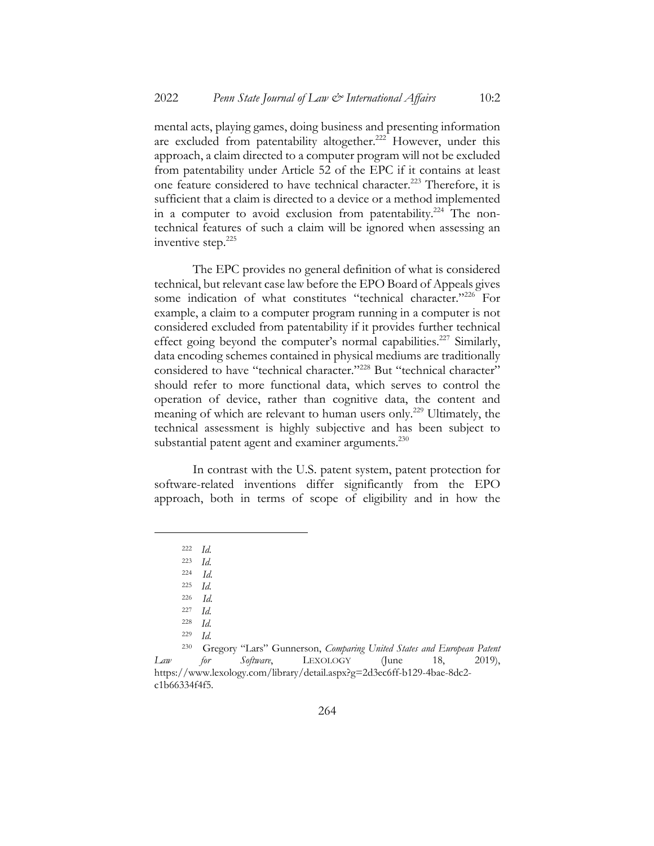mental acts, playing games, doing business and presenting information are excluded from patentability altogether.<sup>222</sup> However, under this approach, a claim directed to a computer program will not be excluded from patentability under Article 52 of the EPC if it contains at least one feature considered to have technical character.<sup>223</sup> Therefore, it is sufficient that a claim is directed to a device or a method implemented in a computer to avoid exclusion from patentability.<sup>224</sup> The nontechnical features of such a claim will be ignored when assessing an inventive step.225

The EPC provides no general definition of what is considered technical, but relevant case law before the EPO Board of Appeals gives some indication of what constitutes "technical character."<sup>226</sup> For example, a claim to a computer program running in a computer is not considered excluded from patentability if it provides further technical effect going beyond the computer's normal capabilities.<sup>227</sup> Similarly, data encoding schemes contained in physical mediums are traditionally considered to have "technical character."<sup>228</sup> But "technical character" should refer to more functional data, which serves to control the operation of device, rather than cognitive data, the content and meaning of which are relevant to human users only.<sup>229</sup> Ultimately, the technical assessment is highly subjective and has been subject to substantial patent agent and examiner arguments.<sup>230</sup>

In contrast with the U.S. patent system, patent protection for software-related inventions differ significantly from the EPO approach, both in terms of scope of eligibility and in how the

<sup>222</sup> *Id.*

<sup>223</sup> *Id.*

<sup>224</sup> *Id.*

<sup>225</sup> *Id.*

<sup>226</sup> *Id.*

 $\frac{227}{228}$  *Id.* 

*Id.* 

<sup>229</sup> *Id.*

<sup>230</sup> Gregory "Lars" Gunnerson, *Comparing United States and European Patent Law for Software*, LEXOLOGY (June 18, 2019), https://www.lexology.com/library/detail.aspx?g=2d3ec6ff-b129-4bae-8dc2 c1b66334f4f5.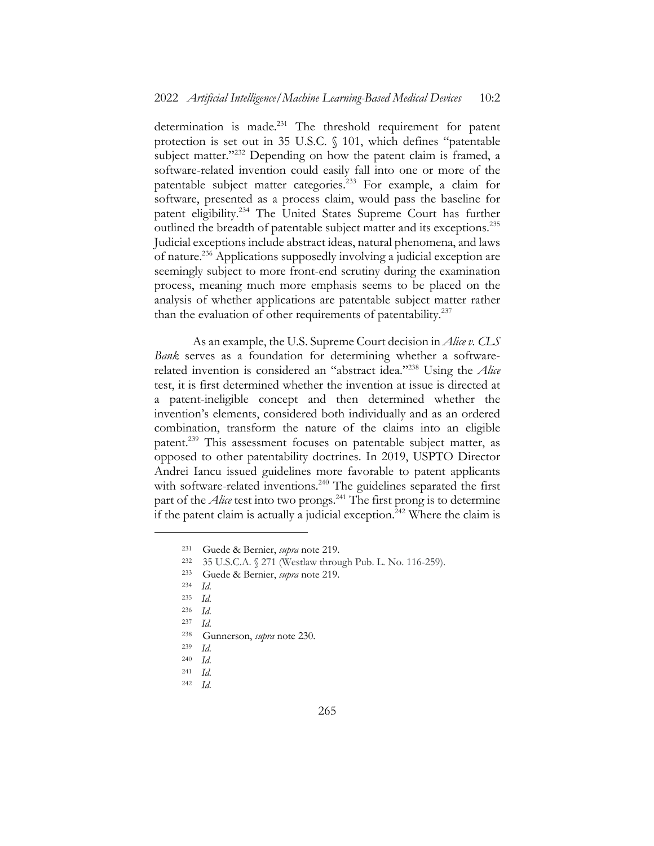determination is made.<sup>231</sup> The threshold requirement for patent protection is set out in 35 U.S.C. § 101, which defines "patentable subject matter."<sup>232</sup> Depending on how the patent claim is framed, a software-related invention could easily fall into one or more of the patentable subject matter categories.233 For example, a claim for software, presented as a process claim, would pass the baseline for patent eligibility.234 The United States Supreme Court has further outlined the breadth of patentable subject matter and its exceptions.<sup>235</sup> Judicial exceptions include abstract ideas, natural phenomena, and laws of nature.236 Applications supposedly involving a judicial exception are seemingly subject to more front-end scrutiny during the examination process, meaning much more emphasis seems to be placed on the analysis of whether applications are patentable subject matter rather than the evaluation of other requirements of patentability.<sup>237</sup>

As an example, the U.S. Supreme Court decision in *Alice v. CLS Bank* serves as a foundation for determining whether a softwarerelated invention is considered an "abstract idea."238 Using the *Alice* test, it is first determined whether the invention at issue is directed at a patent-ineligible concept and then determined whether the invention's elements, considered both individually and as an ordered combination, transform the nature of the claims into an eligible patent.239 This assessment focuses on patentable subject matter, as opposed to other patentability doctrines. In 2019, USPTO Director Andrei Iancu issued guidelines more favorable to patent applicants with software-related inventions.<sup>240</sup> The guidelines separated the first part of the *Alice* test into two prongs.<sup>241</sup> The first prong is to determine if the patent claim is actually a judicial exception.<sup>242</sup> Where the claim is

<sup>231</sup> Guede & Bernier, *supra* note 219.

<sup>232</sup> 35 U.S.C.A. § 271 (Westlaw through Pub. L. No. 116-259).

<sup>233</sup> Guede & Bernier, *supra* note 219.

<sup>234</sup> *Id.*

<sup>235</sup> *Id.*

<sup>236</sup> *Id.*

<sup>237</sup> *Id.*

<sup>238</sup> Gunnerson, *supra* note 230.

<sup>239</sup> *Id.*

<sup>240</sup> *Id.*

<sup>241</sup> *Id.*

<sup>242</sup> *Id.*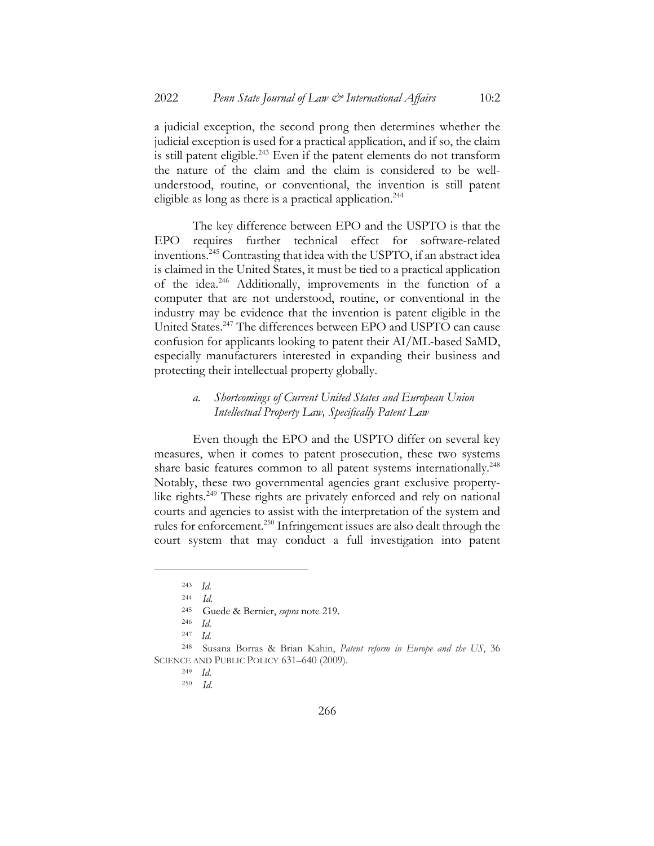a judicial exception, the second prong then determines whether the judicial exception is used for a practical application, and if so, the claim is still patent eligible. $^{243}$  Even if the patent elements do not transform the nature of the claim and the claim is considered to be wellunderstood, routine, or conventional, the invention is still patent eligible as long as there is a practical application.<sup>244</sup>

The key difference between EPO and the USPTO is that the EPO requires further technical effect for software-related inventions.245 Contrasting that idea with the USPTO, if an abstract idea is claimed in the United States, it must be tied to a practical application of the idea.246 Additionally, improvements in the function of a computer that are not understood, routine, or conventional in the industry may be evidence that the invention is patent eligible in the United States.247 The differences between EPO and USPTO can cause confusion for applicants looking to patent their AI/ML-based SaMD, especially manufacturers interested in expanding their business and protecting their intellectual property globally.

### *a. Shortcomings of Current United States and European Union Intellectual Property Law, Specifically Patent Law*

Even though the EPO and the USPTO differ on several key measures, when it comes to patent prosecution, these two systems share basic features common to all patent systems internationally.<sup>248</sup> Notably, these two governmental agencies grant exclusive propertylike rights. <sup>249</sup> These rights are privately enforced and rely on national courts and agencies to assist with the interpretation of the system and rules for enforcement.<sup>250</sup> Infringement issues are also dealt through the court system that may conduct a full investigation into patent

<sup>243</sup> *Id.*

<sup>244</sup> *Id.*

<sup>245</sup> Guede & Bernier, *supra* note 219.

<sup>246</sup> *Id.*

<sup>247</sup> *Id.*

<sup>248</sup> Susana Borras & Brian Kahin, *Patent reform in Europe and the US*, 36 SCIENCE AND PUBLIC POLICY 631–640 (2009).

<sup>249</sup> *Id.*

<sup>250</sup> *Id.*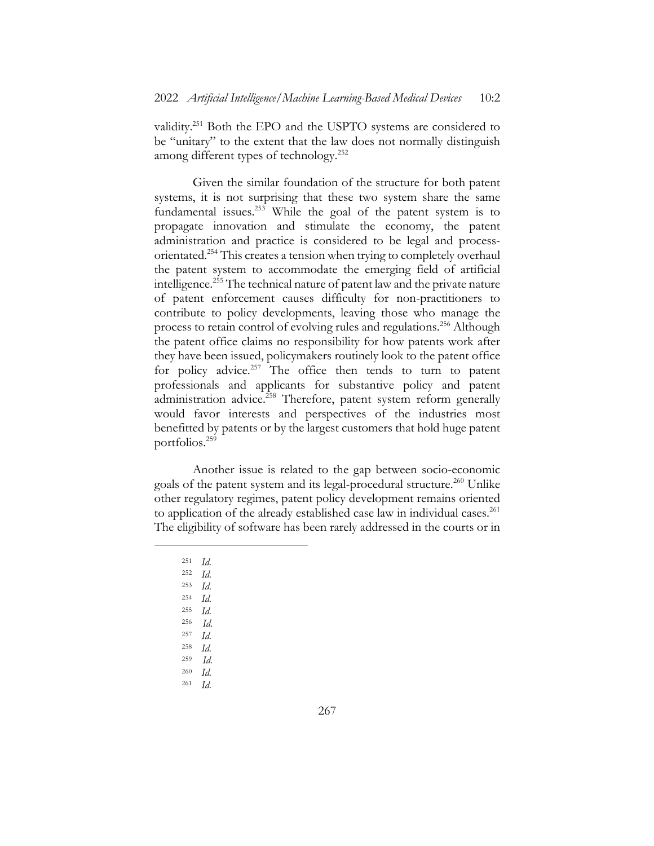validity.251 Both the EPO and the USPTO systems are considered to be "unitary" to the extent that the law does not normally distinguish among different types of technology.<sup>252</sup>

Given the similar foundation of the structure for both patent systems, it is not surprising that these two system share the same fundamental issues.<sup>253</sup> While the goal of the patent system is to propagate innovation and stimulate the economy, the patent administration and practice is considered to be legal and processorientated.<sup>254</sup> This creates a tension when trying to completely overhaul the patent system to accommodate the emerging field of artificial intelligence.255 The technical nature of patent law and the private nature of patent enforcement causes difficulty for non-practitioners to contribute to policy developments, leaving those who manage the process to retain control of evolving rules and regulations.<sup>256</sup> Although the patent office claims no responsibility for how patents work after they have been issued, policymakers routinely look to the patent office for policy advice. $257$  The office then tends to turn to patent professionals and applicants for substantive policy and patent administration advice.<sup>258</sup> Therefore, patent system reform generally would favor interests and perspectives of the industries most benefitted by patents or by the largest customers that hold huge patent portfolios.259

Another issue is related to the gap between socio-economic goals of the patent system and its legal-procedural structure.<sup>260</sup> Unlike other regulatory regimes, patent policy development remains oriented to application of the already established case law in individual cases.<sup>261</sup> The eligibility of software has been rarely addressed in the courts or in

<sup>256</sup> *Id.*

- <sup>258</sup> *Id.*
- <sup>259</sup> *Id.*
- <sup>260</sup> *Id.*
- <sup>261</sup> *Id.*

<sup>251</sup> *Id.*

<sup>252</sup> *Id.*

 $\frac{253}{254}$  *Id.* 

<sup>254</sup> *Id.* <sup>255</sup> *Id.*

<sup>257</sup> *Id.*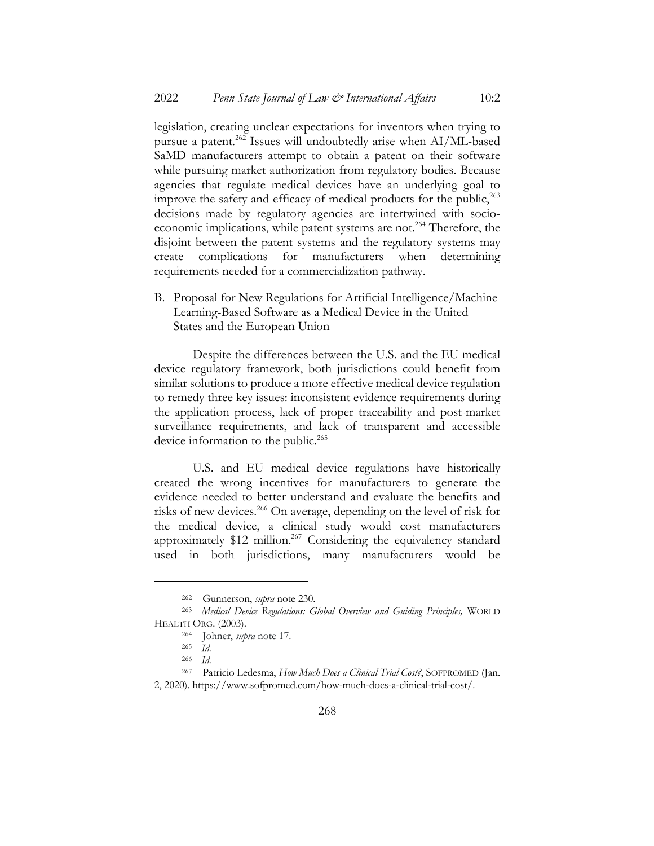legislation, creating unclear expectations for inventors when trying to pursue a patent.<sup>262</sup> Issues will undoubtedly arise when AI/ML-based SaMD manufacturers attempt to obtain a patent on their software while pursuing market authorization from regulatory bodies. Because agencies that regulate medical devices have an underlying goal to improve the safety and efficacy of medical products for the public,<sup>263</sup> decisions made by regulatory agencies are intertwined with socioeconomic implications, while patent systems are not.<sup>264</sup> Therefore, the disjoint between the patent systems and the regulatory systems may create complications for manufacturers when determining requirements needed for a commercialization pathway.

B. Proposal for New Regulations for Artificial Intelligence/Machine Learning-Based Software as a Medical Device in the United States and the European Union

Despite the differences between the U.S. and the EU medical device regulatory framework, both jurisdictions could benefit from similar solutions to produce a more effective medical device regulation to remedy three key issues: inconsistent evidence requirements during the application process, lack of proper traceability and post-market surveillance requirements, and lack of transparent and accessible device information to the public.<sup>265</sup>

U.S. and EU medical device regulations have historically created the wrong incentives for manufacturers to generate the evidence needed to better understand and evaluate the benefits and risks of new devices.266 On average, depending on the level of risk for the medical device, a clinical study would cost manufacturers approximately \$12 million.<sup>267</sup> Considering the equivalency standard used in both jurisdictions, many manufacturers would be

<sup>262</sup> Gunnerson, *supra* note 230.

<sup>263</sup> *Medical Device Regulations: Global Overview and Guiding Principles,* WORLD HEALTH ORG. (2003).

<sup>264</sup> Johner, *supra* note 17.

<sup>265</sup> *Id.*

<sup>266</sup> *Id.*

<sup>267</sup> Patricio Ledesma, *How Much Does a Clinical Trial Cost?*, SOFPROMED (Jan. 2, 2020). https://www.sofpromed.com/how-much-does-a-clinical-trial-cost/.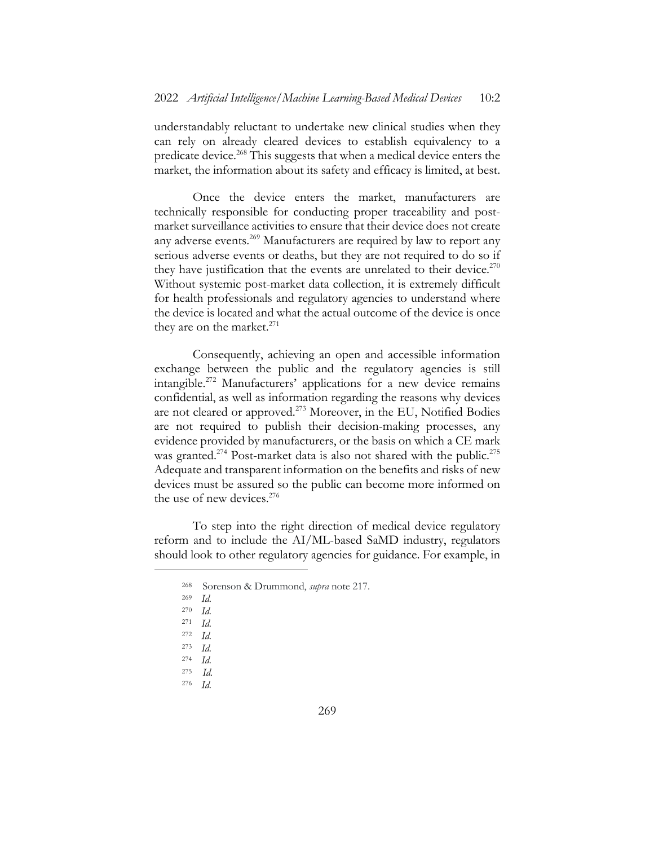understandably reluctant to undertake new clinical studies when they can rely on already cleared devices to establish equivalency to a predicate device.<sup>268</sup> This suggests that when a medical device enters the market, the information about its safety and efficacy is limited, at best.

Once the device enters the market, manufacturers are technically responsible for conducting proper traceability and postmarket surveillance activities to ensure that their device does not create any adverse events.<sup>269</sup> Manufacturers are required by law to report any serious adverse events or deaths, but they are not required to do so if they have justification that the events are unrelated to their device.<sup>270</sup> Without systemic post-market data collection, it is extremely difficult for health professionals and regulatory agencies to understand where the device is located and what the actual outcome of the device is once they are on the market. $271$ 

Consequently, achieving an open and accessible information exchange between the public and the regulatory agencies is still intangible.272 Manufacturers' applications for a new device remains confidential, as well as information regarding the reasons why devices are not cleared or approved.<sup>273</sup> Moreover, in the EU, Notified Bodies are not required to publish their decision-making processes, any evidence provided by manufacturers, or the basis on which a CE mark was granted.<sup>274</sup> Post-market data is also not shared with the public.<sup>275</sup> Adequate and transparent information on the benefits and risks of new devices must be assured so the public can become more informed on the use of new devices.<sup>276</sup>

To step into the right direction of medical device regulatory reform and to include the AI/ML-based SaMD industry, regulators should look to other regulatory agencies for guidance. For example, in

<sup>268</sup> Sorenson & Drummond, *supra* note 217.

<sup>269</sup> *Id.*

<sup>270</sup> *Id.*

<sup>271</sup> *Id.*

<sup>272</sup> *Id.*

<sup>273</sup> *Id.*

<sup>274</sup> *Id.*

<sup>275</sup> *Id.*

<sup>276</sup> *Id.*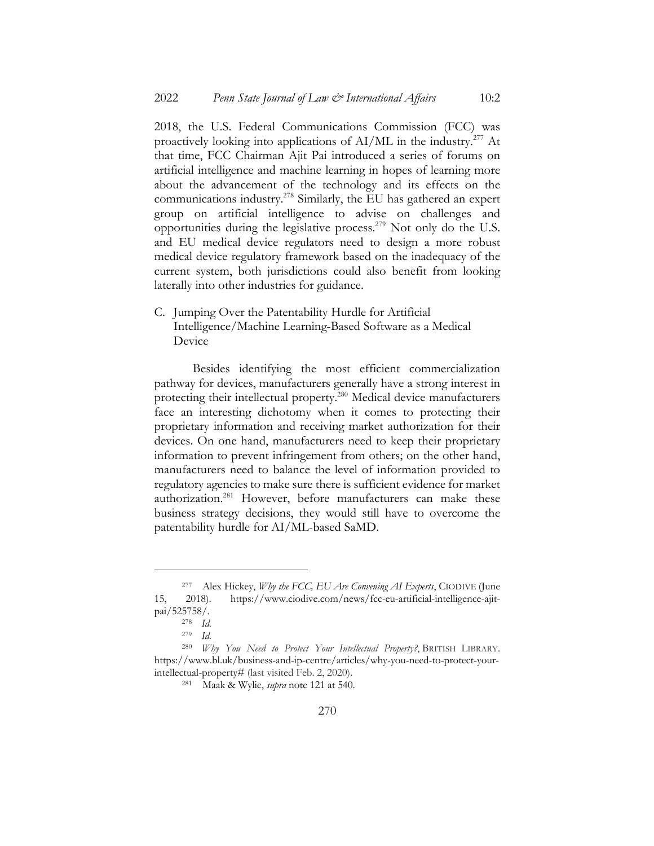2018, the U.S. Federal Communications Commission (FCC) was proactively looking into applications of AI/ML in the industry.277 At that time, FCC Chairman Ajit Pai introduced a series of forums on artificial intelligence and machine learning in hopes of learning more about the advancement of the technology and its effects on the communications industry.<sup>278</sup> Similarly, the EU has gathered an expert group on artificial intelligence to advise on challenges and opportunities during the legislative process.<sup>279</sup> Not only do the U.S. and EU medical device regulators need to design a more robust medical device regulatory framework based on the inadequacy of the current system, both jurisdictions could also benefit from looking laterally into other industries for guidance.

C. Jumping Over the Patentability Hurdle for Artificial Intelligence/Machine Learning-Based Software as a Medical Device

Besides identifying the most efficient commercialization pathway for devices, manufacturers generally have a strong interest in protecting their intellectual property.280 Medical device manufacturers face an interesting dichotomy when it comes to protecting their proprietary information and receiving market authorization for their devices. On one hand, manufacturers need to keep their proprietary information to prevent infringement from others; on the other hand, manufacturers need to balance the level of information provided to regulatory agencies to make sure there is sufficient evidence for market authorization.281 However, before manufacturers can make these business strategy decisions, they would still have to overcome the patentability hurdle for AI/ML-based SaMD.

<sup>277</sup> Alex Hickey, *Why the FCC, EU Are Convening AI Experts*, CIODIVE (June 15, 2018). https://www.ciodive.com/news/fcc-eu-artificial-intelligence-ajitpai/525758/.

<sup>278</sup> *Id.*

<sup>279</sup> *Id.*

<sup>280</sup> *Why You Need to Protect Your Intellectual Property?*, BRITISH LIBRARY. https://www.bl.uk/business-and-ip-centre/articles/why-you-need-to-protect-yourintellectual-property# (last visited Feb. 2, 2020).

<sup>281</sup> Maak & Wylie, *supra* note 121 at 540.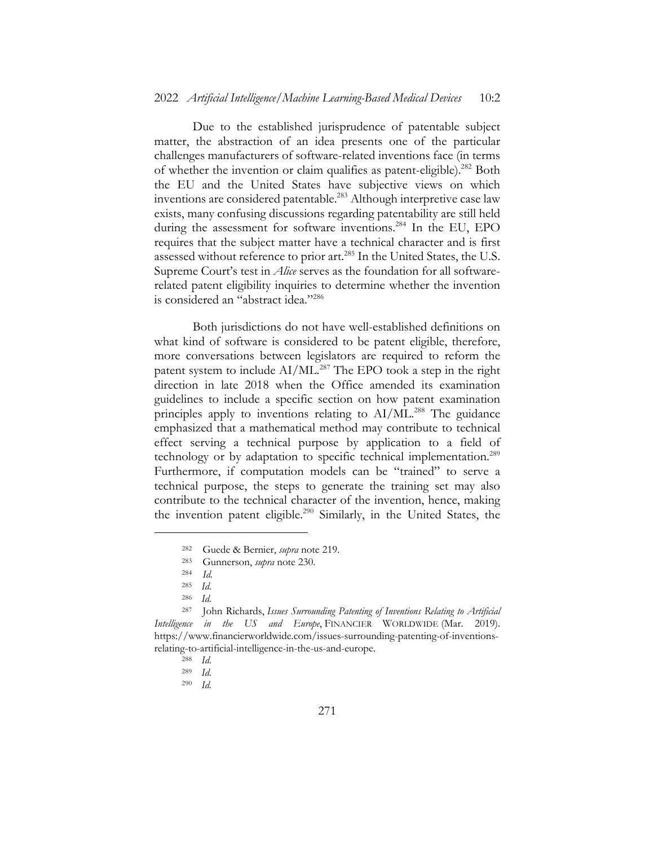Due to the established jurisprudence of patentable subject matter, the abstraction of an idea presents one of the particular challenges manufacturers of software-related inventions face (in terms of whether the invention or claim qualifies as patent-eligible).282 Both the EU and the United States have subjective views on which inventions are considered patentable.<sup>283</sup> Although interpretive case law exists, many confusing discussions regarding patentability are still held during the assessment for software inventions. <sup>284</sup> In the EU, EPO requires that the subject matter have a technical character and is first assessed without reference to prior art.<sup>285</sup> In the United States, the U.S. Supreme Court's test in *Alice* serves as the foundation for all softwarerelated patent eligibility inquiries to determine whether the invention is considered an "abstract idea."<sup>286</sup>

Both jurisdictions do not have well-established definitions on what kind of software is considered to be patent eligible, therefore, more conversations between legislators are required to reform the patent system to include AI/ML.<sup>287</sup> The EPO took a step in the right direction in late 2018 when the Office amended its examination guidelines to include a specific section on how patent examination principles apply to inventions relating to AI/ML.<sup>288</sup> The guidance emphasized that a mathematical method may contribute to technical effect serving a technical purpose by application to a field of technology or by adaptation to specific technical implementation.<sup>289</sup> Furthermore, if computation models can be "trained" to serve a technical purpose, the steps to generate the training set may also contribute to the technical character of the invention, hence, making the invention patent eligible.<sup>290</sup> Similarly, in the United States, the

<sup>282</sup> Guede & Bernier, *supra* note 219.

<sup>283</sup> Gunnerson, *supra* note 230.

<sup>284</sup> *Id.*

 $\frac{285}{286}$  *Id.* 

*Id.* 

<sup>287</sup> John Richards, *Issues Surrounding Patenting of Inventions Relating to Artificial Intelligence in the US and Europe*, FINANCIER WORLDWIDE (Mar. 2019). https://www.financierworldwide.com/issues-surrounding-patenting-of-inventionsrelating-to-artificial-intelligence-in-the-us-and-europe.

<sup>288</sup> *Id.*

<sup>289</sup> *Id.*

<sup>290</sup> *Id.*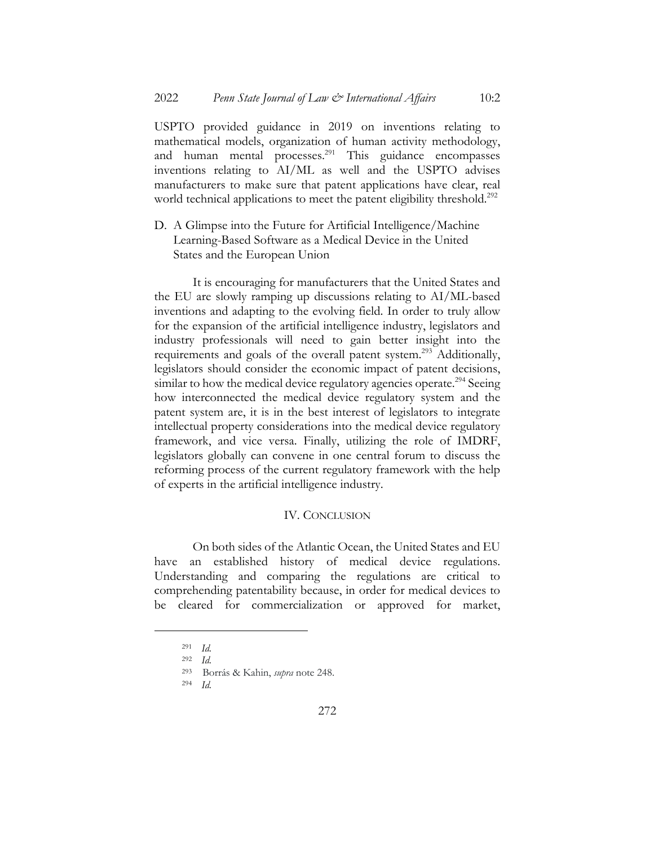USPTO provided guidance in 2019 on inventions relating to mathematical models, organization of human activity methodology, and human mental processes.<sup>291</sup> This guidance encompasses inventions relating to AI/ML as well and the USPTO advises manufacturers to make sure that patent applications have clear, real world technical applications to meet the patent eligibility threshold.<sup>292</sup>

D. A Glimpse into the Future for Artificial Intelligence/Machine Learning-Based Software as a Medical Device in the United States and the European Union

It is encouraging for manufacturers that the United States and the EU are slowly ramping up discussions relating to AI/ML-based inventions and adapting to the evolving field. In order to truly allow for the expansion of the artificial intelligence industry, legislators and industry professionals will need to gain better insight into the requirements and goals of the overall patent system.<sup>293</sup> Additionally, legislators should consider the economic impact of patent decisions, similar to how the medical device regulatory agencies operate.<sup>294</sup> Seeing how interconnected the medical device regulatory system and the patent system are, it is in the best interest of legislators to integrate intellectual property considerations into the medical device regulatory framework, and vice versa. Finally, utilizing the role of IMDRF, legislators globally can convene in one central forum to discuss the reforming process of the current regulatory framework with the help of experts in the artificial intelligence industry.

#### IV. CONCLUSION

On both sides of the Atlantic Ocean, the United States and EU have an established history of medical device regulations. Understanding and comparing the regulations are critical to comprehending patentability because, in order for medical devices to be cleared for commercialization or approved for market,

<sup>291</sup> *Id.*

<sup>292</sup> *Id.*

<sup>293</sup> Borrás & Kahin, *supra* note 248.

<sup>294</sup> *Id.*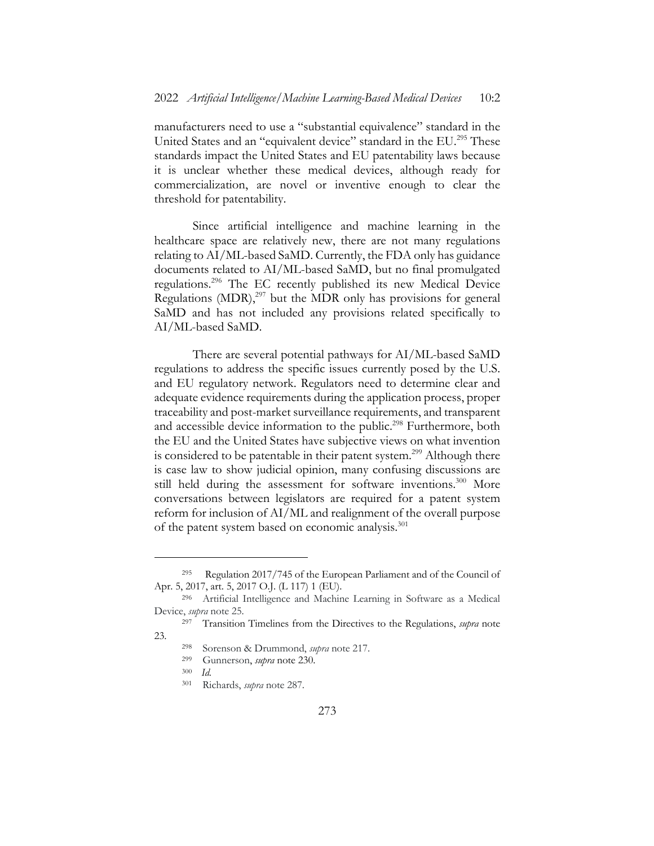manufacturers need to use a "substantial equivalence" standard in the United States and an "equivalent device" standard in the EU.<sup>295</sup> These standards impact the United States and EU patentability laws because it is unclear whether these medical devices, although ready for commercialization, are novel or inventive enough to clear the threshold for patentability.

Since artificial intelligence and machine learning in the healthcare space are relatively new, there are not many regulations relating to AI/ML-based SaMD. Currently, the FDA only has guidance documents related to AI/ML-based SaMD, but no final promulgated regulations.296 The EC recently published its new Medical Device Regulations  $(MDR)$ ,<sup>297</sup> but the MDR only has provisions for general SaMD and has not included any provisions related specifically to AI/ML-based SaMD.

There are several potential pathways for AI/ML-based SaMD regulations to address the specific issues currently posed by the U.S. and EU regulatory network. Regulators need to determine clear and adequate evidence requirements during the application process, proper traceability and post-market surveillance requirements, and transparent and accessible device information to the public.<sup>298</sup> Furthermore, both the EU and the United States have subjective views on what invention is considered to be patentable in their patent system.<sup>299</sup> Although there is case law to show judicial opinion, many confusing discussions are still held during the assessment for software inventions.<sup>300</sup> More conversations between legislators are required for a patent system reform for inclusion of AI/ML and realignment of the overall purpose of the patent system based on economic analysis.<sup>301</sup>

- <sup>299</sup> Gunnerson, *supra* note 230.
- <sup>300</sup> *Id.*

<sup>295</sup> Regulation 2017/745 of the European Parliament and of the Council of Apr. 5, 2017, art. 5, 2017 O.J. (L 117) 1 (EU).

<sup>296</sup> Artificial Intelligence and Machine Learning in Software as a Medical Device, *supra* note 25.

<sup>297</sup> Transition Timelines from the Directives to the Regulations, *supra* note 23.

<sup>298</sup> Sorenson & Drummond, *supra* note 217.

<sup>301</sup> Richards, *supra* note 287.